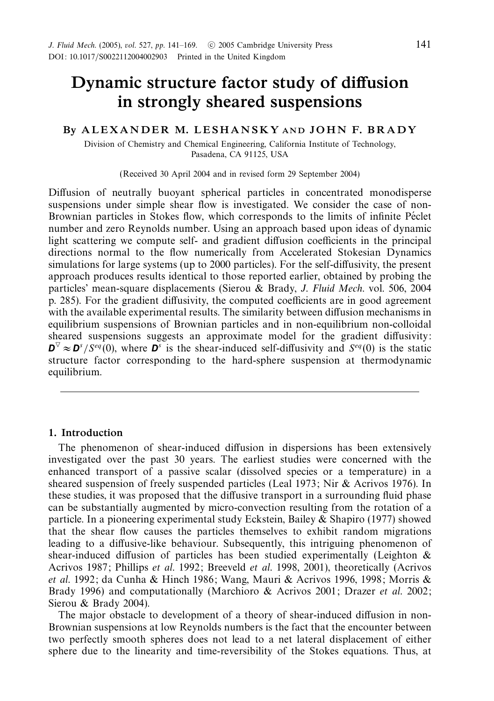# *Dynamic structure factor study of diffusion in strongly sheared suspensions*

# *By A L E X A N D E R M. L E S H A N S K Y AND J O H N F. B R A D Y*

Division of Chemistry and Chemical Engineering, California Institute of Technology, Pasadena, CA 91125, USA

(Received 30 April 2004 and in revised form 29 September 2004)

Diffusion of neutrally buoyant spherical particles in concentrated monodisperse suspensions under simple shear flow is investigated. We consider the case of non-Brownian particles in Stokes flow, which corresponds to the limits of infinite Péclet number and zero Reynolds number. Using an approach based upon ideas of dynamic light scattering we compute self- and gradient diffusion coefficients in the principal directions normal to the flow numerically from Accelerated Stokesian Dynamics simulations for large systems (up to 2000 particles). For the self-diffusivity, the present approach produces results identical to those reported earlier, obtained by probing the particles' mean-square displacements (Sierou & Brady, J. Fluid Mech. vol. 506, 2004 p. 285). For the gradient diffusivity, the computed coefficients are in good agreement with the available experimental results. The similarity between diffusion mechanisms in equilibrium suspensions of Brownian particles and in non-equilibrium non-colloidal sheared suspensions suggests an approximate model for the gradient diffusivity:  $D^{\triangledown} \approx D^{s}/S^{eq}(0)$ , where  $D^{s}$  is the shear-induced self-diffusivity and  $S^{eq}(0)$  is the static structure factor corresponding to the hard-sphere suspension at thermodynamic equilibrium.

## *1. Introduction*

The phenomenon of shear-induced diffusion in dispersions has been extensively investigated over the past 30 years. The earliest studies were concerned with the enhanced transport of a passive scalar (dissolved species or a temperature) in a sheared suspension of freely suspended particles (Leal 1973; Nir & Acrivos 1976). In these studies, it was proposed that the diffusive transport in a surrounding fluid phase can be substantially augmented by micro-convection resulting from the rotation of a particle. In a pioneering experimental study Eckstein, Bailey & Shapiro (1977) showed that the shear flow causes the particles themselves to exhibit random migrations leading to a diffusive-like behaviour. Subsequently, this intriguing phenomenon of shear-induced diffusion of particles has been studied experimentally (Leighton & Acrivos 1987; Phillips et al. 1992; Breeveld et al. 1998, 2001), theoretically (Acrivos et al. 1992; da Cunha & Hinch 1986; Wang, Mauri & Acrivos 1996, 1998; Morris & Brady 1996) and computationally (Marchioro & Acrivos 2001; Drazer et al. 2002; Sierou & Brady 2004).

The major obstacle to development of a theory of shear-induced diffusion in non-Brownian suspensions at low Reynolds numbers is the fact that the encounter between two perfectly smooth spheres does not lead to a net lateral displacement of either sphere due to the linearity and time-reversibility of the Stokes equations. Thus, at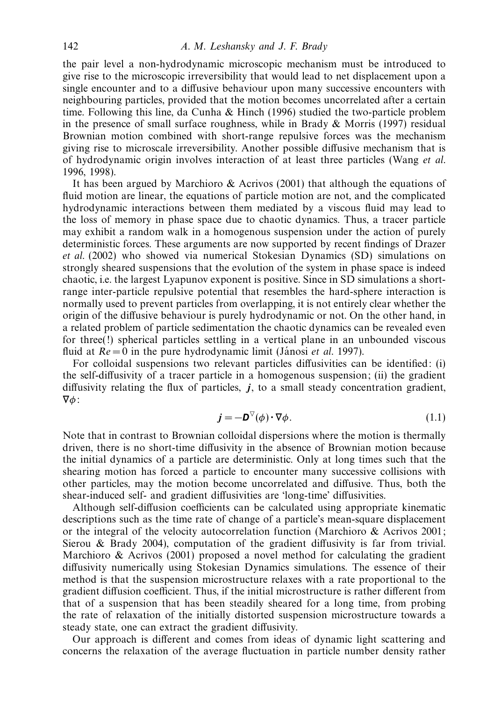the pair level a non-hydrodynamic microscopic mechanism must be introduced to give rise to the microscopic irreversibility that would lead to net displacement upon a single encounter and to a diffusive behaviour upon many successive encounters with neighbouring particles, provided that the motion becomes uncorrelated after a certain time. Following this line, da Cunha & Hinch (1996) studied the two-particle problem in the presence of small surface roughness, while in Brady  $&$  Morris (1997) residual Brownian motion combined with short-range repulsive forces was the mechanism giving rise to microscale irreversibility. Another possible diffusive mechanism that is of hydrodynamic origin involves interaction of at least three particles (Wang et al. 1996, 1998).

It has been argued by Marchioro  $\&$  Acrivos (2001) that although the equations of fluid motion are linear, the equations of particle motion are not, and the complicated hydrodynamic interactions between them mediated by a viscous fluid may lead to the loss of memory in phase space due to chaotic dynamics. Thus, a tracer particle may exhibit a random walk in a homogenous suspension under the action of purely deterministic forces. These arguments are now supported by recent findings of Drazer et al. (2002) who showed via numerical Stokesian Dynamics (SD) simulations on strongly sheared suspensions that the evolution of the system in phase space is indeed chaotic, i.e. the largest Lyapunov exponent is positive. Since in SD simulations a shortrange inter-particle repulsive potential that resembles the hard-sphere interaction is normally used to prevent particles from overlapping, it is not entirely clear whether the origin of the diffusive behaviour is purely hydrodynamic or not. On the other hand, in a related problem of particle sedimentation the chaotic dynamics can be revealed even for three(!) spherical particles settling in a vertical plane in an unbounded viscous fluid at  $Re = 0$  in the pure hydrodynamic limit (Jánosi *et al.* 1997).

For colloidal suspensions two relevant particles diffusivities can be identified: (i) the self-diffusivity of a tracer particle in a homogenous suspension; (ii) the gradient diffusivity relating the flux of particles,  $j$ , to a small steady concentration gradient, **∇***φ*:

$$
\mathbf{j} = -\mathbf{D}^{\triangledown}(\phi) \cdot \nabla \phi. \tag{1.1}
$$

Note that in contrast to Brownian colloidal dispersions where the motion is thermally driven, there is no short-time diffusivity in the absence of Brownian motion because the initial dynamics of a particle are deterministic. Only at long times such that the shearing motion has forced a particle to encounter many successive collisions with other particles, may the motion become uncorrelated and diffusive. Thus, both the shear-induced self- and gradient diffusivities are 'long-time' diffusivities.

Although self-diffusion coefficients can be calculated using appropriate kinematic descriptions such as the time rate of change of a particle's mean-square displacement or the integral of the velocity autocorrelation function (Marchioro & Acrivos 2001; Sierou & Brady 2004), computation of the gradient diffusivity is far from trivial. Marchioro & Acrivos (2001) proposed a novel method for calculating the gradient diffusivity numerically using Stokesian Dynamics simulations. The essence of their method is that the suspension microstructure relaxes with a rate proportional to the gradient diffusion coefficient. Thus, if the initial microstructure is rather different from that of a suspension that has been steadily sheared for a long time, from probing the rate of relaxation of the initially distorted suspension microstructure towards a steady state, one can extract the gradient diffusivity.

Our approach is different and comes from ideas of dynamic light scattering and concerns the relaxation of the average fluctuation in particle number density rather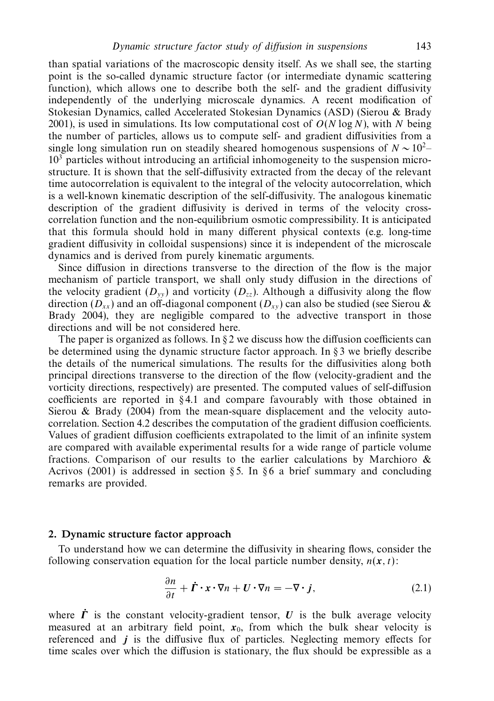than spatial variations of the macroscopic density itself. As we shall see, the starting point is the so-called dynamic structure factor (or intermediate dynamic scattering function), which allows one to describe both the self- and the gradient diffusivity independently of the underlying microscale dynamics. A recent modification of Stokesian Dynamics, called Accelerated Stokesian Dynamics (ASD) (Sierou & Brady 2001), is used in simulations. Its low computational cost of *O*(*N* log *N*), with *N* being the number of particles, allows us to compute self- and gradient diffusivities from a single long simulation run on steadily sheared homogenous suspensions of  $N \sim 10^{2-1}$  $10<sup>3</sup>$  particles without introducing an artificial inhomogeneity to the suspension microstructure. It is shown that the self-diffusivity extracted from the decay of the relevant time autocorrelation is equivalent to the integral of the velocity autocorrelation, which is a well-known kinematic description of the self-diffusivity. The analogous kinematic description of the gradient diffusivity is derived in terms of the velocity crosscorrelation function and the non-equilibrium osmotic compressibility. It is anticipated that this formula should hold in many different physical contexts (e.g. long-time gradient diffusivity in colloidal suspensions) since it is independent of the microscale dynamics and is derived from purely kinematic arguments.

Since diffusion in directions transverse to the direction of the flow is the major mechanism of particle transport, we shall only study diffusion in the directions of the velocity gradient  $(D_{yy})$  and vorticity  $(D_{zz})$ . Although a diffusivity along the flow direction  $(D_{xx})$  and an off-diagonal component  $(D_{xy})$  can also be studied (see Sierou & Brady 2004), they are negligible compared to the advective transport in those directions and will be not considered here.

The paper is organized as follows. In  $\S 2$  we discuss how the diffusion coefficients can be determined using the dynamic structure factor approach. In § 3 we briefly describe the details of the numerical simulations. The results for the diffusivities along both principal directions transverse to the direction of the flow (velocity-gradient and the vorticity directions, respectively) are presented. The computed values of self-diffusion coefficients are reported in § 4.1 and compare favourably with those obtained in Sierou & Brady (2004) from the mean-square displacement and the velocity autocorrelation. Section 4.2 describes the computation of the gradient diffusion coefficients. Values of gradient diffusion coefficients extrapolated to the limit of an infinite system are compared with available experimental results for a wide range of particle volume fractions. Comparison of our results to the earlier calculations by Marchioro & Acrivos (2001) is addressed in section  $\S 5$ . In  $\S 6$  a brief summary and concluding remarks are provided.

# *2. Dynamic structure factor approach*

To understand how we can determine the diffusivity in shearing flows, consider the following conservation equation for the local particle number density,  $n(x, t)$ :

$$
\frac{\partial n}{\partial t} + \dot{\mathbf{\Gamma}} \cdot \mathbf{x} \cdot \nabla n + U \cdot \nabla n = -\nabla \cdot \mathbf{j}, \qquad (2.1)
$$

where  $\vec{\Gamma}$  is the constant velocity-gradient tensor,  $\vec{U}$  is the bulk average velocity measured at an arbitrary field point,  $x_0$ , from which the bulk shear velocity is referenced and *j* is the diffusive flux of particles. Neglecting memory effects for time scales over which the diffusion is stationary, the flux should be expressible as a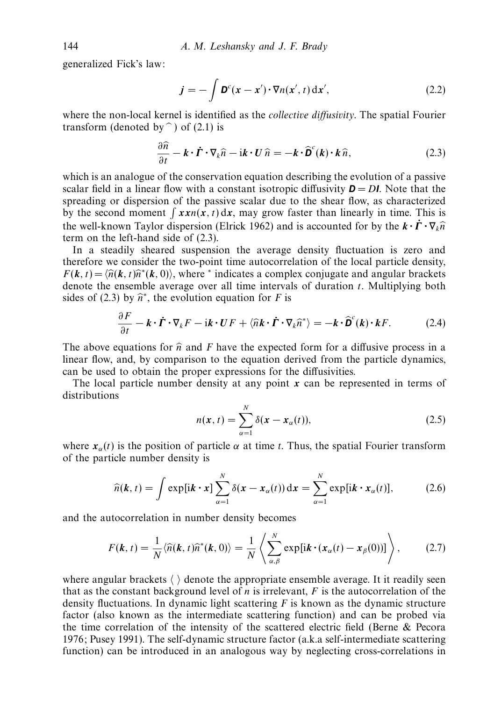generalized Fick's law:

$$
\mathbf{j} = -\int \mathbf{D}^c(\mathbf{x} - \mathbf{x}') \cdot \nabla n(\mathbf{x}', t) \, \mathrm{d}\mathbf{x}',\tag{2.2}
$$

where the non-local kernel is identified as the *collective diffusivity*. The spatial Fourier transform (denoted by  $\hat{ }$  ) of (2.1) is

$$
\frac{\partial \hat{n}}{\partial t} - \boldsymbol{k} \cdot \boldsymbol{\dot{\Gamma}} \cdot \nabla_k \hat{n} - i \boldsymbol{k} \cdot \boldsymbol{U} \hat{n} = -\boldsymbol{k} \cdot \boldsymbol{\hat{\mathsf{D}}}^c(\boldsymbol{k}) \cdot \boldsymbol{k} \hat{n},\tag{2.3}
$$

which is an analogue of the conservation equation describing the evolution of a passive scalar field in a linear flow with a constant isotropic diffusivity  $D = DI$ . Note that the spreading or dispersion of the passive scalar due to the shear flow, as characterized by the second moment  $\int x x n(x, t) dx$ , may grow faster than linearly in time. This is the well-known Taylor dispersion (Elrick 1962) and is accounted for by the  $\mathbf{k} \cdot \mathbf{\dot{\Gamma}} \cdot \nabla_k \hat{n}$ term on the left-hand side of (2.3).

In a steadily sheared suspension the average density fluctuation is zero and therefore we consider the two-point time autocorrelation of the local particle density,  $F(k, t) = \langle \hat{n}(k, t)\hat{n}^*(k, 0) \rangle$ , where <sup>∗</sup> indicates a complex conjugate and angular brackets denote the ensemble average over all time intervals of duration *t*. Multiplying both sides of (2.3) by  $\hat{n}^*$ , the evolution equation for F is

$$
\frac{\partial F}{\partial t} - \boldsymbol{k} \cdot \boldsymbol{\dot{\Gamma}} \cdot \nabla_k F - i \boldsymbol{k} \cdot \boldsymbol{U} F + \langle \hat{n} \boldsymbol{k} \cdot \boldsymbol{\dot{\Gamma}} \cdot \nabla_k \hat{n}^* \rangle = - \boldsymbol{k} \cdot \boldsymbol{\hat{D}}^c(\boldsymbol{k}) \cdot \boldsymbol{k} F. \tag{2.4}
$$

The above equations for  $\hat{n}$  and F have the expected form for a diffusive process in a linear flow and by comparison to the equation derived from the partials dynamics linear flow, and, by comparison to the equation derived from the particle dynamics, can be used to obtain the proper expressions for the diffusivities.

The local particle number density at any point  $x$  can be represented in terms of distributions

$$
n(x,t) = \sum_{\alpha=1}^{N} \delta(x - x_{\alpha}(t)),
$$
\n(2.5)

where  $x_\alpha(t)$  is the position of particle  $\alpha$  at time t. Thus, the spatial Fourier transform of the particle number density is

$$
\widehat{n}(\mathbf{k},t) = \int \exp[i\mathbf{k}\cdot\mathbf{x}] \sum_{\alpha=1}^{N} \delta(\mathbf{x}-\mathbf{x}_{\alpha}(t)) d\mathbf{x} = \sum_{\alpha=1}^{N} \exp[i\mathbf{k}\cdot\mathbf{x}_{\alpha}(t)], \tag{2.6}
$$

and the autocorrelation in number density becomes

$$
F(\mathbf{k},t) = \frac{1}{N} \langle \hat{n}(\mathbf{k},t) \hat{n}^*(\mathbf{k},0) \rangle = \frac{1}{N} \left\langle \sum_{\alpha,\beta}^N \exp[i\mathbf{k} \cdot (\mathbf{x}_{\alpha}(t) - \mathbf{x}_{\beta}(0))] \right\rangle, \quad (2.7)
$$

where angular brackets  $\langle \rangle$  denote the appropriate ensemble average. It it readily seen that as the constant background level of  $n$  is irrelevant,  $F$  is the autocorrelation of the density fluctuations. In dynamic light scattering  $F$  is known as the dynamic structure factor (also known as the intermediate scattering function) and can be probed via the time correlation of the intensity of the scattered electric field (Berne & Pecora 1976; Pusey 1991). The self-dynamic structure factor (a.k.a self-intermediate scattering function) can be introduced in an analogous way by neglecting cross-correlations in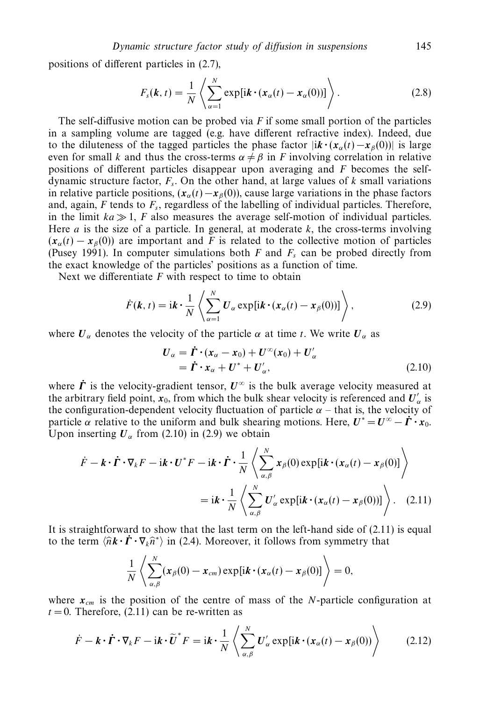positions of different particles in (2.7),

$$
F_s(\mathbf{k}, t) = \frac{1}{N} \left\langle \sum_{\alpha=1}^N \exp[i\mathbf{k} \cdot (\mathbf{x}_{\alpha}(t) - \mathbf{x}_{\alpha}(0))] \right\rangle.
$$
 (2.8)

The self-diffusive motion can be probed via  $F$  if some small portion of the particles in a sampling volume are tagged (e.g. have different refractive index). Indeed, due to the diluteness of the tagged particles the phase factor  $|i\mathbf{k} \cdot (\mathbf{x}_{\alpha}(t) - \mathbf{x}_{\beta}(0))|$  is large even for small *k* and thus the cross-terms  $\alpha \neq \beta$  in *F* involving correlation in relative positions of different particles disappear upon averaging and F becomes the selfdynamic structure factor,  $F_s$ . On the other hand, at large values of  $k$  small variations in relative particle positions,  $(x_\alpha(t) - x_\beta(0))$ , cause large variations in the phase factors and, again, F tends to *Fs*, regardless of the labelling of individual particles. Therefore, in the limit  $ka \gg 1$ , F also measures the average self-motion of individual particles. Here *a* is the size of a particle. In general, at moderate *k*, the cross-terms involving  $(\mathbf{x}_\alpha(t) - \mathbf{x}_\beta(0))$  are important and F is related to the collective motion of particles (Pusey 1991). In computer simulations both  $F$  and  $F_s$  can be probed directly from the exact knowledge of the particles' positions as a function of time.

Next we differentiate  $F$  with respect to time to obtain

$$
\dot{F}(\mathbf{k},t) = i\mathbf{k} \cdot \frac{1}{N} \left\langle \sum_{\alpha=1}^{N} \mathbf{U}_{\alpha} \exp[i\mathbf{k} \cdot (\mathbf{x}_{\alpha}(t) - \mathbf{x}_{\beta}(0))] \right\rangle, \tag{2.9}
$$

where  $U_\alpha$  denotes the velocity of the particle  $\alpha$  at time *t*. We write  $U_\alpha$  as

$$
U_{\alpha} = \dot{\Gamma} \cdot (x_{\alpha} - x_0) + U^{\infty}(x_0) + U'_{\alpha}
$$
  
=  $\dot{\Gamma} \cdot x_{\alpha} + U^* + U'_{\alpha}$ , (2.10)

where  $\dot{\mathbf{\Gamma}}$  is the velocity-gradient tensor,  $\mathbf{U}^{\infty}$  is the bulk average velocity measured at the arbitrary field point,  $x_0$ , from which the bulk shear velocity is referenced and  $U'_\alpha$  is the configuration-dependent velocity fluctuation of particle  $\alpha$  – that is, the velocity of particle  $\alpha$  relative to the uniform and bulk shearing motions. Here,  $U^* = U^{\infty} - \dot{\mathbf{\Gamma}} \cdot \mathbf{x}_0$ . Upon inserting  $U_\alpha$  from (2.10) in (2.9) we obtain

$$
\dot{F} - \boldsymbol{k} \cdot \boldsymbol{\dot{\Gamma}} \cdot \nabla_{k} F - i \boldsymbol{k} \cdot \boldsymbol{U}^{*} F - i \boldsymbol{k} \cdot \boldsymbol{\dot{\Gamma}} \cdot \frac{1}{N} \left\langle \sum_{\alpha, \beta}^{N} x_{\beta}(0) \exp[i \boldsymbol{k} \cdot (\boldsymbol{x}_{\alpha}(t) - \boldsymbol{x}_{\beta}(0))] \right\rangle
$$

$$
= i \boldsymbol{k} \cdot \frac{1}{N} \left\langle \sum_{\alpha, \beta}^{N} \boldsymbol{U}_{\alpha}^{\prime} \exp[i \boldsymbol{k} \cdot (\boldsymbol{x}_{\alpha}(t) - \boldsymbol{x}_{\beta}(0))] \right\rangle. \quad (2.11)
$$

It is straightforward to show that the last term on the left-hand side of  $(2.11)$  is equal to the term  $\langle \hat{n} \mathbf{k} \cdot \mathbf{\dot{\Gamma}} \cdot \nabla_k \hat{n}^* \rangle$  in (2.4). Moreover, it follows from symmetry that

$$
\frac{1}{N}\left\langle \sum_{\alpha,\beta}^{N}(\boldsymbol{x}_{\beta}(0)-\boldsymbol{x}_{cm})\exp[i\boldsymbol{k}\cdot(\boldsymbol{x}_{\alpha}(t)-\boldsymbol{x}_{\beta}(0)]\right\rangle = 0,
$$

where  $x_{cm}$  is the position of the centre of mass of the *N*-particle configuration at  $t = 0$ . Therefore, (2.11) can be re-written as

$$
\dot{F} - \boldsymbol{k} \cdot \boldsymbol{\dot{\Gamma}} \cdot \nabla_k F - i \boldsymbol{k} \cdot \widetilde{\boldsymbol{U}}^* F = i \boldsymbol{k} \cdot \frac{1}{N} \left\langle \sum_{\alpha, \beta}^N \boldsymbol{U}'_{\alpha} \exp[i \boldsymbol{k} \cdot (\boldsymbol{x}_{\alpha}(t) - \boldsymbol{x}_{\beta}(0)) \right\rangle \tag{2.12}
$$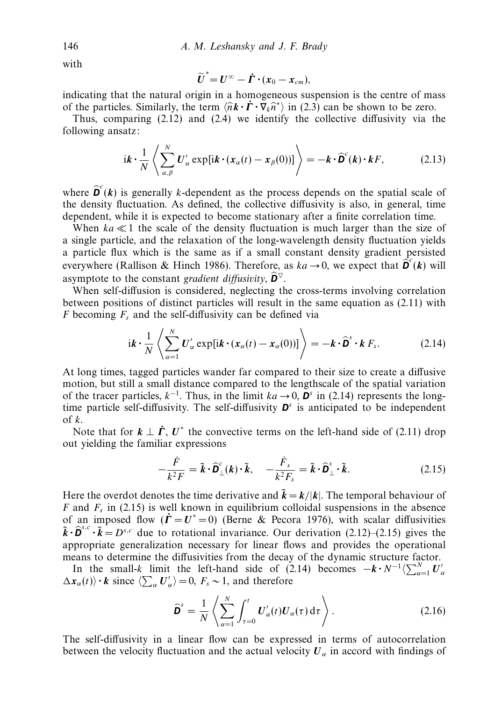with

$$
\widetilde{\boldsymbol{U}}^* = \boldsymbol{U}^{\infty} - \boldsymbol{\dot{\Gamma}} \cdot (\boldsymbol{x}_0 - \boldsymbol{x}_{cm}),
$$

indicating that the natural origin in a homogeneous suspension is the centre of mass of the particles. Similarly, the term  $\langle \hat{n} \mathbf{k} \cdot \mathbf{r} \cdot \nabla_k \hat{n}^* \rangle$  in (2.3) can be shown to be zero.

Thus, comparing (2.12) and (2.4) we identify the collective diffusivity via the following ansatz:

$$
i\mathbf{k} \cdot \frac{1}{N} \left\langle \sum_{\alpha,\beta}^{N} \mathbf{U}_{\alpha}^{\prime} \exp[i\mathbf{k} \cdot (\mathbf{x}_{\alpha}(t) - \mathbf{x}_{\beta}(0))] \right\rangle = -\mathbf{k} \cdot \widehat{\mathbf{D}}^{c}(\mathbf{k}) \cdot \mathbf{k} F, \qquad (2.13)
$$

where  $\hat{\boldsymbol{D}}^c(\boldsymbol{k})$  is generally *k*-dependent as the process depends on the spatial scale of the density fluctuation. As defined, the collective diffusivity is also, in general, time dependent, while it is expected to become stationary after a finite correlation time.

When  $ka \ll 1$  the scale of the density fluctuation is much larger than the size of a single particle, and the relaxation of the long-wavelength density fluctuation yields a particle flux which is the same as if a small constant density gradient persisted everywhere (Rallison & Hinch 1986). Therefore, as  $ka \rightarrow 0$ , we expect that  $\hat{\mathbf{D}}^c(\mathbf{k})$  will asymptote to the constant *gradient diffusivity*,  $\hat{\mathbf{D}}^{\triangledown}$ .

When self-diffusion is considered, neglecting the cross-terms involving correlation between positions of distinct particles will result in the same equation as (2.11) with F becoming *Fs* and the self-diffusivity can be defined via

$$
i\mathbf{k} \cdot \frac{1}{N} \left\langle \sum_{\alpha=1}^{N} \mathbf{U}_{\alpha}^{\prime} \exp[i\mathbf{k} \cdot (\mathbf{x}_{\alpha}(t) - \mathbf{x}_{\alpha}(0))] \right\rangle = -\mathbf{k} \cdot \widehat{\mathbf{D}}^{s} \cdot \mathbf{k} \, F_{s}. \tag{2.14}
$$

At long times, tagged particles wander far compared to their size to create a diffusive motion, but still a small distance compared to the lengthscale of the spatial variation of the tracer particles,  $k^{-1}$ . Thus, in the limit  $ka$  → 0,  $\overline{D}^s$  in (2.14) represents the longtime particle self-diffusivity. The self-diffusivity  $\mathbf{D}^s$  is anticipated to be independent of  $k$ .

Note that for  $k \perp \dot{\Gamma}$ ,  $U^*$  the convective terms on the left-hand side of (2.11) drop out yielding the familiar expressions

$$
-\frac{\dot{F}}{k^2 F} = \tilde{k} \cdot \hat{\boldsymbol{D}}_{\perp}^c(\boldsymbol{k}) \cdot \tilde{k}, \quad -\frac{\dot{F}_s}{k^2 F_s} = \tilde{k} \cdot \hat{\boldsymbol{D}}_{\perp}^s \cdot \tilde{k}.
$$
 (2.15)

Here the overdot denotes the time derivative and  $\tilde{\mathbf{k}} = \mathbf{k}/|\mathbf{k}|$ . The temporal behaviour of  $F$  and  $F_s$  in (2.15) is well known in equilibrium colloidal suspensions in the absence of an imposed flow  $(\dot{\mathbf{\Gamma}} = \mathbf{U}^* = 0)$  (Berne & Pecora 1976), with scalar diffusivities  $\tilde{\boldsymbol{k}} \cdot \hat{\boldsymbol{D}}^{s,c} \cdot \tilde{\boldsymbol{k}} = D^{s,c}$  due to rotational invariance. Our derivation (2.12)–(2.15) gives the appropriate generalization necessary for linear flows and provides the operational means to determine the diffusivities from the decay of the dynamic structure factor.

In the small-*k* limit the left-hand side of (2.14) becomes  $-k \cdot N^{-1} \langle \sum_{\alpha=1}^{N} U_{\alpha}^{\prime}$  $\langle \Delta x_{\alpha}(t) \rangle \cdot \mathbf{k}$  since  $\langle \sum_{\alpha} U'_{\alpha} \rangle = 0$ ,  $F_s \sim 1$ , and therefore

$$
\widehat{\boldsymbol{D}}^s = \frac{1}{N} \left\langle \sum_{\alpha=1}^N \int_{\tau=0}^t \boldsymbol{U}'_\alpha(t) \boldsymbol{U}_\alpha(\tau) \, \mathrm{d}\tau \right\rangle. \tag{2.16}
$$

The self-diffusivity in a linear flow can be expressed in terms of autocorrelation between the velocity fluctuation and the actual velocity  $U_\alpha$  in accord with findings of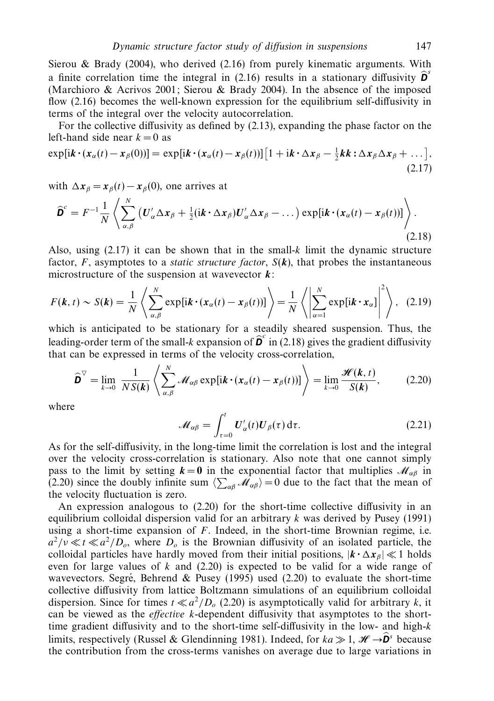Sierou & Brady (2004), who derived (2.16) from purely kinematic arguments. With a finite correlation time the integral in  $(2.16)$  results in a stationary diffusivity  $\hat{\boldsymbol{D}}$ (Marchioro & Acrivos 2001; Sierou & Brady 2004). In the absence of the imposed flow (2.16) becomes the well-known expression for the equilibrium self-diffusivity in terms of the integral over the velocity autocorrelation.

For the collective diffusivity as defined by (2.13), expanding the phase factor on the left-hand side near  $k = 0$  as

$$
\exp[i\mathbf{k}\cdot(\mathbf{x}_{\alpha}(t)-\mathbf{x}_{\beta}(0))]=\exp[i\mathbf{k}\cdot(\mathbf{x}_{\alpha}(t)-\mathbf{x}_{\beta}(t))]\left[1+i\mathbf{k}\cdot\Delta\mathbf{x}_{\beta}-\frac{1}{2}\mathbf{k}\mathbf{k}:\Delta\mathbf{x}_{\beta}\Delta\mathbf{x}_{\beta}+\dots\right],
$$
\n(2.17)

with  $\Delta x_{\beta} = x_{\beta}(t) - x_{\beta}(0)$ , one arrives at

$$
\widehat{\mathbf{D}}^c = F^{-1} \frac{1}{N} \left\langle \sum_{\alpha,\beta}^N \left( U_{\alpha}' \Delta x_{\beta} + \frac{1}{2} (\mathbf{i} \mathbf{k} \cdot \Delta x_{\beta}) U_{\alpha}' \Delta x_{\beta} - \dots \right) \exp[\mathbf{i} \mathbf{k} \cdot (\mathbf{x}_{\alpha}(t) - \mathbf{x}_{\beta}(t))] \right\rangle.
$$
\n(2.18)

Also, using (2.17) it can be shown that in the small-*k* limit the dynamic structure factor,  $F$ , asymptotes to a *static structure factor*,  $S(k)$ , that probes the instantaneous microstructure of the suspension at wavevector *k*:

$$
F(\mathbf{k}, t) \sim S(\mathbf{k}) = \frac{1}{N} \left\langle \sum_{\alpha, \beta}^{N} \exp[i\mathbf{k} \cdot (\mathbf{x}_{\alpha}(t) - \mathbf{x}_{\beta}(t))] \right\rangle = \frac{1}{N} \left\langle \left| \sum_{\alpha=1}^{N} \exp[i\mathbf{k} \cdot \mathbf{x}_{\alpha}] \right|^{2} \right\rangle, \tag{2.19}
$$

which is anticipated to be stationary for a steadily sheared suspension. Thus, the leading-order term of the small- $k$  expansion of  $\hat{\mathbf{D}}^c$  in (2.18) gives the gradient diffusivity that can be expressed in terms of the velocity cross-correlation,

$$
\widehat{\mathbf{D}}^{\nabla} = \lim_{k \to 0} \frac{1}{NS(\mathbf{k})} \left\langle \sum_{\alpha,\beta}^{N} \mathcal{M}_{\alpha\beta} \exp[i\mathbf{k} \cdot (\mathbf{x}_{\alpha}(t) - \mathbf{x}_{\beta}(t))] \right\rangle = \lim_{k \to 0} \frac{\mathcal{H}(\mathbf{k},t)}{S(\mathbf{k})},
$$
(2.20)

where

$$
\mathcal{M}_{\alpha\beta} = \int_{\tau=0}^{t} U'_{\alpha}(t) U_{\beta}(\tau) d\tau.
$$
 (2.21)

As for the self-diffusivity, in the long-time limit the correlation is lost and the integral over the velocity cross-correlation is stationary. Also note that one cannot simply pass to the limit by setting  $k = 0$  in the exponential factor that multiplies  $\mathcal{M}_{\alpha\beta}$  in (2.20) since the doubly infinite sum  $\langle \sum_{\alpha\beta} \mathcal{M}_{\alpha\beta} \rangle = 0$  due to the fact that the mean of the velocity fluctuation is zero.

An expression analogous to (2.20) for the short-time collective diffusivity in an equilibrium colloidal dispersion valid for an arbitrary *k* was derived by Pusey (1991) using a short-time expansion of *F*. Indeed, in the short-time Brownian regime, i.e.  $a^2/v \ll t \ll a^2/D_o$ , where  $D_o$  is the Brownian diffusivity of an isolated particle, the colloidal particles have hardly moved from their initial positions,  $|\mathbf{k} \cdot \Delta \mathbf{x}_{\beta}| \ll 1$  holds even for large values of *k* and (2.20) is expected to be valid for a wide range of wavevectors. Segré, Behrend & Pusey (1995) used (2.20) to evaluate the short-time collective diffusivity from lattice Boltzmann simulations of an equilibrium colloidal dispersion. Since for times  $t \ll a^2/D_0$  (2.20) is asymptotically valid for arbitrary *k*, it can be viewed as the effective *k*-dependent diffusivity that asymptotes to the shorttime gradient diffusivity and to the short-time self-diffusivity in the low- and high-*k* limits, respectively (Russel & Glendinning 1981). Indeed, for  $ka \gg 1$ ,  $\mathcal{H} \rightarrow \mathbf{D}^s$  because the contribution from the cross-terms vanishes on average due to large variations in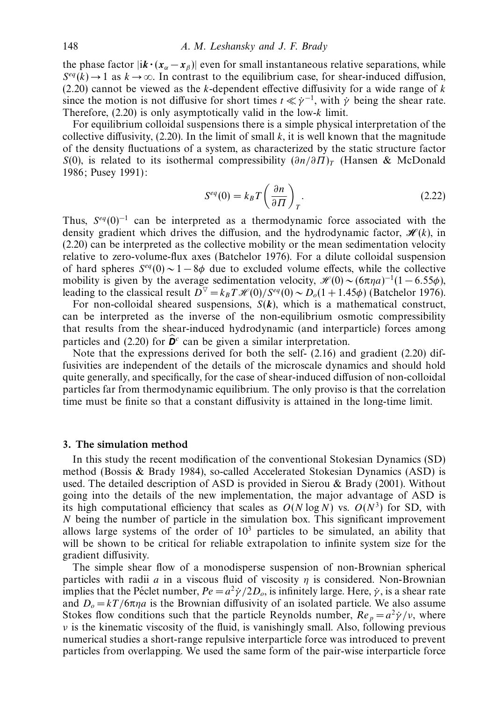the phase factor  $|i\mathbf{k} \cdot (\mathbf{x}_{\alpha} - \mathbf{x}_{\beta})|$  even for small instantaneous relative separations, while  $S^{eq}(k) \rightarrow 1$  as  $k \rightarrow \infty$ . In contrast to the equilibrium case, for shear-induced diffusion, (2*.*20) cannot be viewed as the *k*-dependent effective diffusivity for a wide range of *k* since the motion is not diffusive for short times  $t \ll \gamma^{-1}$ , with  $\gamma$  being the shear rate. Therefore, (2.20) is only asymptotically valid in the low-*k* limit.

For equilibrium colloidal suspensions there is a simple physical interpretation of the collective diffusivity,  $(2.20)$ . In the limit of small k, it is well known that the magnitude of the density fluctuations of a system, as characterized by the static structure factor *S*(0), is related to its isothermal compressibility (*∂n/∂Π*)*<sup>T</sup>* (Hansen & McDonald 1986; Pusey 1991):

$$
S^{eq}(0) = k_B T \left(\frac{\partial n}{\partial T}\right)_T.
$$
\n(2.22)

Thus, *Seq* (0)−<sup>1</sup> can be interpreted as a thermodynamic force associated with the density gradient which drives the diffusion, and the hydrodynamic factor,  $\mathcal{H}(k)$ , in (2.20) can be interpreted as the collective mobility or the mean sedimentation velocity relative to zero-volume-flux axes (Batchelor 1976). For a dilute colloidal suspension of hard spheres  $S^{eq}(0) \sim 1 - 8\phi$  due to excluded volume effects, while the collective mobility is given by the average sedimentation velocity,  $\mathcal{H}(0) \sim (6\pi n a)^{-1}(1-6.55φ)$ , leading to the classical result  $D^{\triangledown} = k_B T \mathcal{H}(0)/S^{eq}(0) \sim D_o(1 + 1.45\phi)$  (Batchelor 1976).

For non-colloidal sheared suspensions,  $S(k)$ , which is a mathematical construct, can be interpreted as the inverse of the non-equilibrium osmotic compressibility that results from the shear-induced hydrodynamic (and interparticle) forces among particles and (2.20) for  $\hat{D}^c$  can be given a similar interpretation.

Note that the expressions derived for both the self- (2.16) and gradient (2.20) diffusivities are independent of the details of the microscale dynamics and should hold quite generally, and specifically, for the case of shear-induced diffusion of non-colloidal particles far from thermodynamic equilibrium. The only proviso is that the correlation time must be finite so that a constant diffusivity is attained in the long-time limit.

#### *3. The simulation method*

In this study the recent modification of the conventional Stokesian Dynamics (SD) method (Bossis & Brady 1984), so-called Accelerated Stokesian Dynamics (ASD) is used. The detailed description of ASD is provided in Sierou & Brady (2001). Without going into the details of the new implementation, the major advantage of ASD is its high computational efficiency that scales as  $O(N \log N)$  vs.  $O(N^3)$  for SD, with *N* being the number of particle in the simulation box. This significant improvement allows large systems of the order of  $10<sup>3</sup>$  particles to be simulated, an ability that will be shown to be critical for reliable extrapolation to infinite system size for the gradient diffusivity.

The simple shear flow of a monodisperse suspension of non-Brownian spherical particles with radii *a* in a viscous fluid of viscosity *η* is considered. Non-Brownian implies that the Péclet number,  $Pe = a^2 \dot{\gamma}/2D_o$ , is infinitely large. Here,  $\dot{\gamma}$ , is a shear rate and  $D<sub>o</sub> = kT/6\pi\eta a$  is the Brownian diffusivity of an isolated particle. We also assume Stokes flow conditions such that the particle Reynolds number,  $Re_p = a^2 \dot{\gamma}/v$ , where *ν* is the kinematic viscosity of the fluid, is vanishingly small. Also, following previous numerical studies a short-range repulsive interparticle force was introduced to prevent particles from overlapping. We used the same form of the pair-wise interparticle force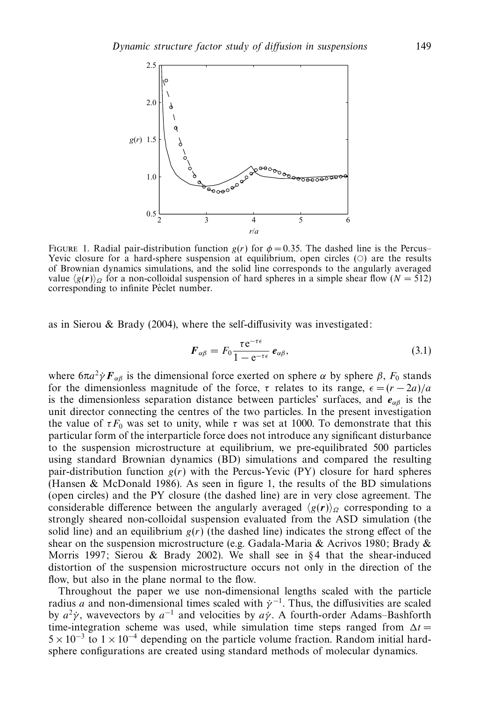

FIGURE 1. Radial pair-distribution function  $g(r)$  for  $\phi = 0.35$ . The dashed line is the Percus– Yevic closure for a hard-sphere suspension at equilibrium, open circles  $(0)$  are the results of Brownian dynamics simulations, and the solid line corresponds to the angularly averaged value  $\langle g(r) \rangle_{\Omega}$  for a non-colloidal suspension of hard spheres in a simple shear flow ( $N = 512$ ) corresponding to infinite Péclet number.

as in Sierou & Brady (2004), where the self-diffusivity was investigated:

$$
\boldsymbol{F}_{\alpha\beta} = F_0 \frac{\tau e^{-\tau \epsilon}}{1 - e^{-\tau \epsilon}} \, \boldsymbol{e}_{\alpha\beta},\tag{3.1}
$$

where  $6\pi a^2 \dot{\gamma} F_{\alpha\beta}$  is the dimensional force exerted on sphere  $\alpha$  by sphere  $\beta$ ,  $F_0$  stands for the dimensionless magnitude of the force,  $\tau$  relates to its range,  $\epsilon = (r - 2a)/a$ is the dimensionless separation distance between particles' surfaces, and *eαβ* is the unit director connecting the centres of the two particles. In the present investigation the value of  $\tau F_0$  was set to unity, while  $\tau$  was set at 1000. To demonstrate that this particular form of the interparticle force does not introduce any significant disturbance to the suspension microstructure at equilibrium, we pre-equilibrated 500 particles using standard Brownian dynamics (BD) simulations and compared the resulting pair-distribution function  $g(r)$  with the Percus-Yevic (PY) closure for hard spheres (Hansen & McDonald 1986). As seen in figure 1, the results of the BD simulations (open circles) and the PY closure (the dashed line) are in very close agreement. The considerable difference between the angularly averaged  $\langle g(r) \rangle_{\Omega}$  corresponding to a strongly sheared non-colloidal suspension evaluated from the ASD simulation (the solid line) and an equilibrium  $g(r)$  (the dashed line) indicates the strong effect of the shear on the suspension microstructure (e.g. Gadala-Maria & Acrivos 1980; Brady & Morris 1997; Sierou & Brady 2002). We shall see in §4 that the shear-induced distortion of the suspension microstructure occurs not only in the direction of the flow, but also in the plane normal to the flow.

Throughout the paper we use non-dimensional lengths scaled with the particle radius *a* and non-dimensional times scaled with  $\gamma^{-1}$ . Thus, the diffusivities are scaled by  $a^2\dot{\gamma}$ , wavevectors by  $a^{-1}$  and velocities by  $a\dot{\gamma}$ . A fourth-order Adams–Bashforth time-integration scheme was used, while simulation time steps ranged from  $\Delta t =$  $5 \times 10^{-3}$  to  $1 \times 10^{-4}$  depending on the particle volume fraction. Random initial hardsphere configurations are created using standard methods of molecular dynamics.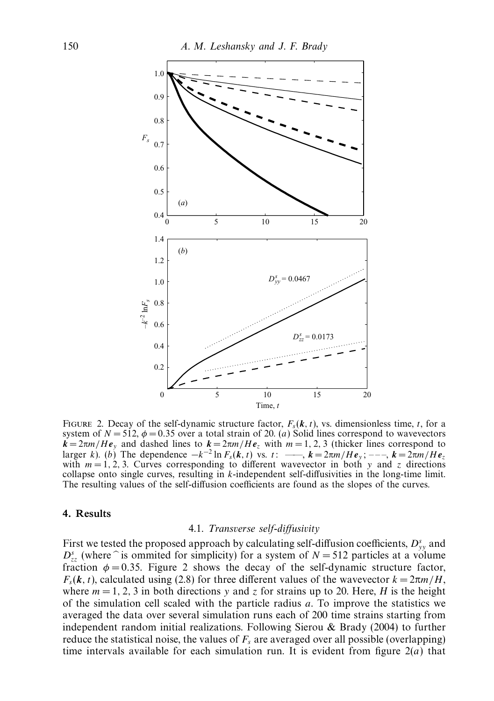

FIGURE 2. Decay of the self-dynamic structure factor,  $F_s(\mathbf{k}, t)$ , vs. dimensionless time, *t*, for a system of  $N = 512$ ,  $\phi = 0.35$  over a total strain of 20. (a) Solid lines correspond to wavevectors  $k = 2\pi m / He_y$  and dashed lines to  $k = 2\pi m / He_z$  with  $m = 1, 2, 3$  (thicker lines correspond to larger *k*). (b) The dependence  $-k^{-2} \ln F_s(k, t)$  vs. *t*: ——,  $k = 2\pi m / He$ ,  $k = 2\pi m / He$ with  $m = 1, 2, 3$ . Curves corresponding to different wavevector in both *y* and *z* directions collapse onto single curves, resulting in *k*-independent self-diffusivities in the long-time limit. The resulting values of the self-diffusion coefficients are found as the slopes of the curves.

### *4. Results*

## 4.1. Transverse self-diffusivity

First we tested the proposed approach by calculating self-diffusion coefficients,  $D_{yy}^s$  and  $D_{zz}^s$  (where  $\hat{ }$  is ommited for simplicity) for a system of  $N = 512$  particles at a volume fraction  $\phi = 0.35$ . Figure 2 shows the decay of the self-dynamic structure factor,  $F_s(\mathbf{k}, t)$ , calculated using (2.8) for three different values of the wavevector  $k = 2\pi m/H$ , where  $m = 1, 2, 3$  in both directions y and z for strains up to 20. Here, H is the height of the simulation cell scaled with the particle radius *a*. To improve the statistics we averaged the data over several simulation runs each of 200 time strains starting from independent random initial realizations. Following Sierou  $\&$  Brady (2004) to further reduce the statistical noise, the values of  $F<sub>s</sub>$  are averaged over all possible (overlapping) time intervals available for each simulation run. It is evident from figure  $2(a)$  that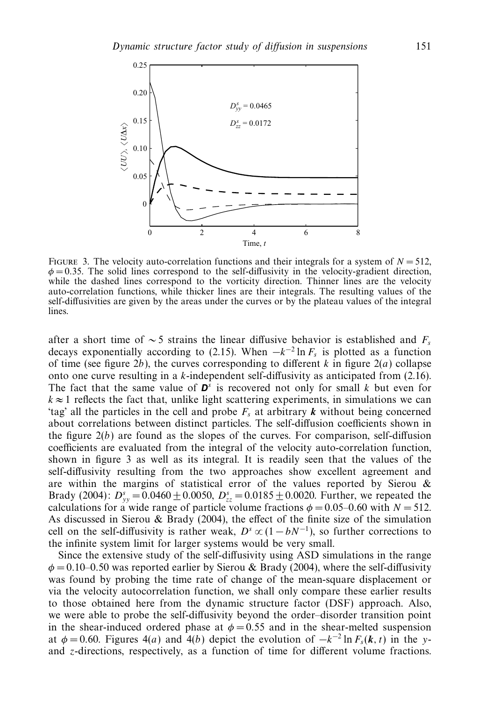

FIGURE 3. The velocity auto-correlation functions and their integrals for a system of  $N = 512$ ,  $\phi$  = 0.35. The solid lines correspond to the self-diffusivity in the velocity-gradient direction, while the dashed lines correspond to the vorticity direction. Thinner lines are the velocity auto-correlation functions, while thicker lines are their integrals. The resulting values of the self-diffusivities are given by the areas under the curves or by the plateau values of the integral lines.

after a short time of ∼ 5 strains the linear diffusive behavior is established and *Fs* decays exponentially according to (2.15). When  $-k^{-2} \ln F_s$  is plotted as a function of time (see figure 2b), the curves corresponding to different  $k$  in figure 2(a) collapse onto one curve resulting in a *k*-independent self-diffusivity as anticipated from (2.16). The fact that the same value of  $D^s$  is recovered not only for small k but even for  $k \approx 1$  reflects the fact that, unlike light scattering experiments, in simulations we can 'tag' all the particles in the cell and probe  $F_s$  at arbitrary  $\boldsymbol{k}$  without being concerned about correlations between distinct particles. The self-diffusion coefficients shown in the figure  $2(b)$  are found as the slopes of the curves. For comparison, self-diffusion coefficients are evaluated from the integral of the velocity auto-correlation function, shown in figure 3 as well as its integral. It is readily seen that the values of the self-diffusivity resulting from the two approaches show excellent agreement and are within the margins of statistical error of the values reported by Sierou & Brady (2004):  $D_{yy}^s = 0.0460 \pm 0.0050$ ,  $D_{zz}^s = 0.0185 \pm 0.0020$ . Further, we repeated the calculations for a wide range of particle volume fractions  $\phi = 0.05-0.60$  with  $N = 512$ . As discussed in Sierou & Brady (2004), the effect of the finite size of the simulation cell on the self-diffusivity is rather weak,  $D^s \propto (1 - bN^{-1})$ , so further corrections to the infinite system limit for larger systems would be very small.

Since the extensive study of the self-diffusivity using ASD simulations in the range *φ* = 0*.*10–0*.*50 was reported earlier by Sierou & Brady (2004), where the self-diffusivity was found by probing the time rate of change of the mean-square displacement or via the velocity autocorrelation function, we shall only compare these earlier results to those obtained here from the dynamic structure factor (DSF) approach. Also, we were able to probe the self-diffusivity beyond the order–disorder transition point in the shear-induced ordered phase at  $\phi = 0.55$  and in the shear-melted suspension at  $\phi = 0.60$ . Figures 4(a) and 4(b) depict the evolution of  $-k^{-2} \ln F_s(\mathbf{k}, t)$  in the *y*and *z*-directions, respectively, as a function of time for different volume fractions.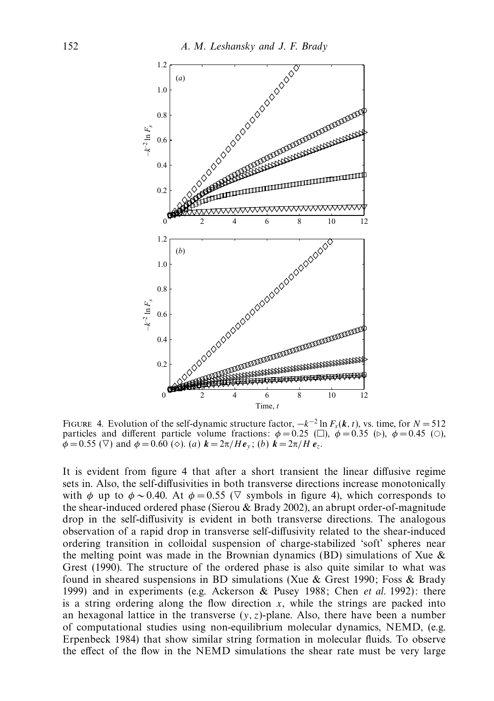

FIGURE 4. Evolution of the self-dynamic structure factor,  $-k^{-2} \ln F_s(\mathbf{k}, t)$ , vs. time, for  $N = 512$ particles and different particle volume fractions:  $\phi = 0.25$  ( $\square$ ),  $\phi = 0.35$  ( $\shd$ ),  $\phi = 0.45$  ( $\shd$ ),  $\phi = 0.55$  ( $\nabla$ ) and  $\phi = 0.60$  ( $\diamond$ ). (a)  $\mathbf{k} = 2\pi / H \mathbf{e}_v$ ; (b)  $\mathbf{k} = 2\pi / H \mathbf{e}_z$ .

It is evident from figure 4 that after a short transient the linear diffusive regime sets in. Also, the self-diffusivities in both transverse directions increase monotonically with  $\phi$  up to  $\phi \sim 0.40$ . At  $\phi = 0.55$  ( $\triangledown$  symbols in figure 4), which corresponds to the shear-induced ordered phase (Sierou & Brady 2002), an abrupt order-of-magnitude drop in the self-diffusivity is evident in both transverse directions. The analogous observation of a rapid drop in transverse self-diffusivity related to the shear-induced ordering transition in colloidal suspension of charge-stabilized 'soft' spheres near the melting point was made in the Brownian dynamics (BD) simulations of Xue & Grest (1990). The structure of the ordered phase is also quite similar to what was found in sheared suspensions in BD simulations (Xue & Grest 1990; Foss & Brady 1999) and in experiments (e.g. Ackerson & Pusey 1988; Chen et al. 1992): there is a string ordering along the flow direction  $x$ , while the strings are packed into an hexagonal lattice in the transverse  $(y, z)$ -plane. Also, there have been a number of computational studies using non-equilibrium molecular dynamics, NEMD, (e.g. Erpenbeck 1984) that show similar string formation in molecular fluids. To observe the effect of the flow in the NEMD simulations the shear rate must be very large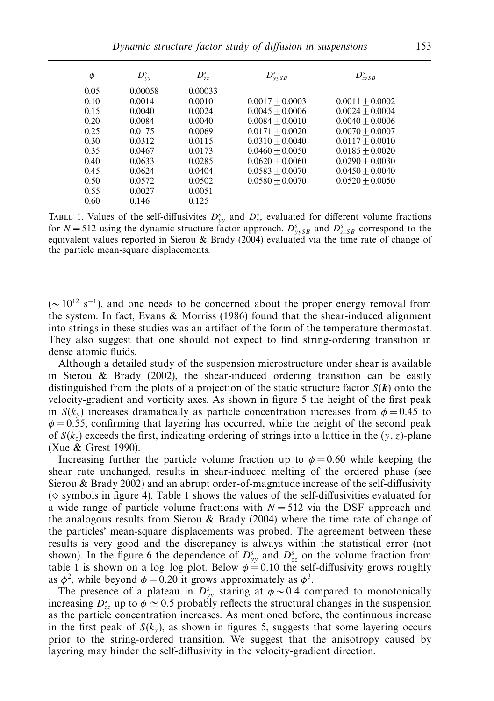| φ    | $D_{yy}^s$ | $D_{zz}^s$ | $D_{\rm vvSB}^s$  | $D_{zzSB}^s$      |
|------|------------|------------|-------------------|-------------------|
| 0.05 | 0.00058    | 0.00033    |                   |                   |
| 0.10 | 0.0014     | 0.0010     | $0.0017 + 0.0003$ | $0.0011 + 0.0002$ |
| 0.15 | 0.0040     | 0.0024     | $0.0045 + 0.0006$ | $0.0024 + 0.0004$ |
| 0.20 | 0.0084     | 0.0040     | $0.0084 + 0.0010$ | $0.0040 + 0.0006$ |
| 0.25 | 0.0175     | 0.0069     | $0.0171 + 0.0020$ | $0.0070 + 0.0007$ |
| 0.30 | 0.0312     | 0.0115     | $0.0310 + 0.0040$ | $0.0117 + 0.0010$ |
| 0.35 | 0.0467     | 0.0173     | $0.0460 + 0.0050$ | $0.0185 + 0.0020$ |
| 0.40 | 0.0633     | 0.0285     | $0.0620 + 0.0060$ | $0.0290 + 0.0030$ |
| 0.45 | 0.0624     | 0.0404     | $0.0583 + 0.0070$ | $0.0450 + 0.0040$ |
| 0.50 | 0.0572     | 0.0502     | $0.0580 + 0.0070$ | $0.0520 + 0.0050$ |
| 0.55 | 0.0027     | 0.0051     |                   |                   |
| 0.60 | 0.146      | 0.125      |                   |                   |

TABLE 1. Values of the self-diffusivites  $D_{yy}^s$  and  $D_{zz}^s$  evaluated for different volume fractions for  $N = 512$  using the dynamic structure factor approach.  $D_{\text{sysSB}}^s$  and  $D_{\text{zzSB}}^s$  correspond to the equivalent values reported in Sierou & Brady (2004) evaluated via the time rate of change of the particle mean-square displacements.

 $({\sim}10^{12} \text{ s}^{-1})$ , and one needs to be concerned about the proper energy removal from the system. In fact, Evans & Morriss (1986) found that the shear-induced alignment into strings in these studies was an artifact of the form of the temperature thermostat. They also suggest that one should not expect to find string-ordering transition in dense atomic fluids.

Although a detailed study of the suspension microstructure under shear is available in Sierou & Brady (2002), the shear-induced ordering transition can be easily distinguished from the plots of a projection of the static structure factor  $S(k)$  onto the velocity-gradient and vorticity axes. As shown in figure 5 the height of the first peak in  $S(k_y)$  increases dramatically as particle concentration increases from  $\phi = 0.45$  to  $\phi = 0.55$ , confirming that layering has occurred, while the height of the second peak of  $S(k_z)$  exceeds the first, indicating ordering of strings into a lattice in the  $(y, z)$ -plane (Xue & Grest 1990).

Increasing further the particle volume fraction up to  $\phi = 0.60$  while keeping the shear rate unchanged, results in shear-induced melting of the ordered phase (see Sierou & Brady 2002) and an abrupt order-of-magnitude increase of the self-diffusivity  $(\diamond$  symbols in figure 4). Table 1 shows the values of the self-diffusivities evaluated for a wide range of particle volume fractions with *N* = 512 via the DSF approach and the analogous results from Sierou & Brady (2004) where the time rate of change of the particles' mean-square displacements was probed. The agreement between these results is very good and the discrepancy is always within the statistical error (not shown). In the figure 6 the dependence of  $D_{yy}^s$  and  $D_{zz}^s$  on the volume fraction from table 1 is shown on a log-log plot. Below  $\phi = 0.10$  the self-diffusivity grows roughly as  $\phi^2$ , while beyond  $\phi = 0.20$  it grows approximately as  $\phi^3$ .

The presence of a plateau in  $D_y^s$  staring at  $\phi \sim 0.4$  compared to monotonically increasing  $D_{zz}^s$  up to  $\phi \simeq 0.5$  probably reflects the structural changes in the suspension as the particle concentration increases. As mentioned before, the continuous increase in the first peak of  $S(k_y)$ , as shown in figures 5, suggests that some layering occurs prior to the string-ordered transition. We suggest that the anisotropy caused by layering may hinder the self-diffusivity in the velocity-gradient direction.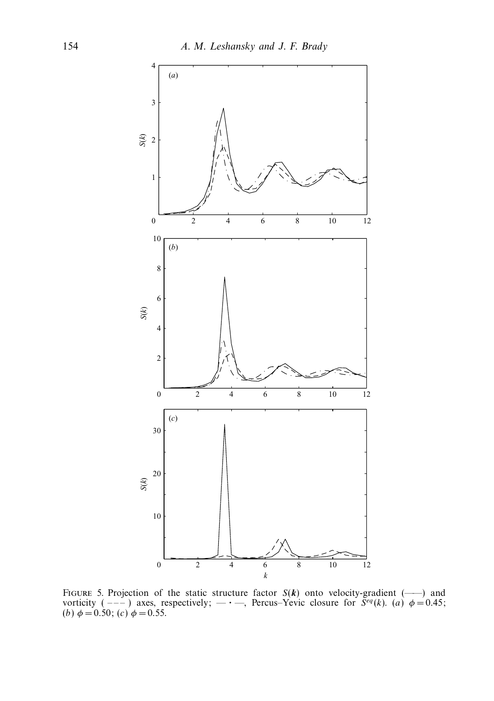

FIGURE 5. Projection of the static structure factor  $S(k)$  onto velocity-gradient  $(\_\_)$  and vorticity  $(- - )$  axes, respectively;  $- \cdot -$ , Percus–Yevic closure for  $\bar{S}^{eq}(k)$ . (a)  $\phi = 0.45$ ;<br>(b)  $\phi = 0.50$ ; (c)  $\phi = 0.55$ .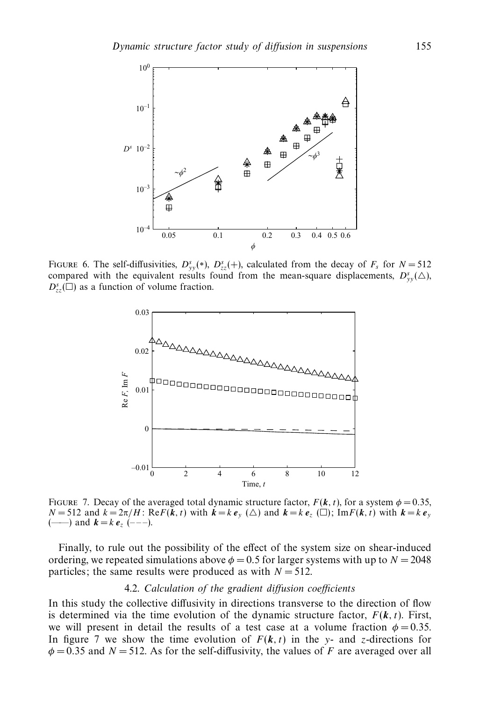

FIGURE 6. The self-diffusivities,  $D_{yy}^s(*)$ ,  $D_{zz}^s(+)$ , calculated from the decay of  $F_s$  for  $N = 512$ compared with the equivalent results found from the mean-square displacements,  $D_{yy}^s(\triangle)$ ,  $D_{zz}^s(\square)$  as a function of volume fraction.



FIGURE 7. Decay of the averaged total dynamic structure factor,  $F(k, t)$ , for a system  $\phi = 0.35$ ,  $N = 512$  and  $k = 2\pi/H$ :  $\text{Re}F(k, t)$  with  $k = k e_y (\triangle)$  and  $k = k e_z (\square)$ ;  $\text{Im}F(k, t)$  with  $k = k e_y$  $(-\)$  and  $k = k e_z$  (---).

Finally, to rule out the possibility of the effect of the system size on shear-induced ordering, we repeated simulations above  $\phi = 0.5$  for larger systems with up to  $N = 2048$ particles; the same results were produced as with  $N = 512$ .

# 4.2. Calculation of the gradient diffusion coefficients

In this study the collective diffusivity in directions transverse to the direction of flow is determined via the time evolution of the dynamic structure factor,  $F(k, t)$ . First, we will present in detail the results of a test case at a volume fraction  $\phi = 0.35$ . In figure 7 we show the time evolution of  $F(k, t)$  in the *y*- and *z*-directions for  $\phi$  = 0.35 and *N* = 512. As for the self-diffusivity, the values of *F* are averaged over all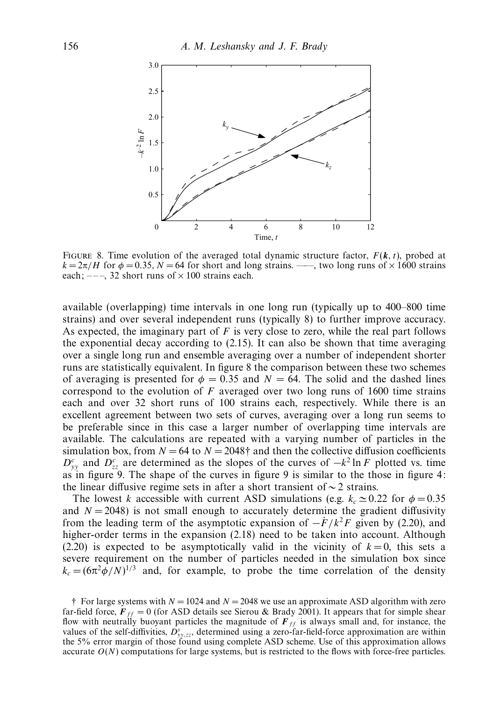

FIGURE 8. Time evolution of the averaged total dynamic structure factor,  $F(k, t)$ , probed at  $k = 2\pi/H$  for  $\phi = 0.35$ ,  $N = 64$  for short and long strains. ——, two long runs of  $\times$  1600 strains each;  $---$ , 32 short runs of  $\times$  100 strains each.

available (overlapping) time intervals in one long run (typically up to 400–800 time strains) and over several independent runs (typically 8) to further improve accuracy. As expected, the imaginary part of *F* is very close to zero, while the real part follows the exponential decay according to (2.15). It can also be shown that time averaging over a single long run and ensemble averaging over a number of independent shorter runs are statistically equivalent. In figure 8 the comparison between these two schemes of averaging is presented for  $\phi = 0.35$  and  $N = 64$ . The solid and the dashed lines correspond to the evolution of *F* averaged over two long runs of 1600 time strains each and over 32 short runs of 100 strains each, respectively. While there is an excellent agreement between two sets of curves, averaging over a long run seems to be preferable since in this case a larger number of overlapping time intervals are available. The calculations are repeated with a varying number of particles in the simulation box, from  $N = 64$  to  $N = 2048$ <sup> $\dagger$ </sup> and then the collective diffusion coefficients  $D_{yy}^c$  and  $D_{zz}^c$  are determined as the slopes of the curves of  $-k^2 \ln F$  plotted vs. time as in figure 9. The shape of the curves in figure 9 is similar to the those in figure 4: the linear diffusive regime sets in after a short transient of ∼ 2 strains.

The lowest *k* accessible with current ASD simulations (e.g.  $k_c \approx 0.22$  for  $\phi = 0.35$ and  $N = 2048$ ) is not small enough to accurately determine the gradient diffusivity from the leading term of the asymptotic expansion of  $-\dot{F}/k^2F$  given by (2.20), and higher-order terms in the expansion (2.18) need to be taken into account. Although (2.20) is expected to be asymptotically valid in the vicinity of  $k = 0$ , this sets a severe requirement on the number of particles needed in the simulation box since  $k_c = (6\pi^2 \phi/N)^{1/3}$  and, for example, to probe the time correlation of the density

<sup>&</sup>lt;sup> $\dagger$ </sup> For large systems with *N* = 1024 and *N* = 2048 we use an approximate ASD algorithm with zero far-field force,  $\mathbf{F}_{ff} = 0$  (for ASD details see Sierou & Brady 2001). It appears that for simple shear flow with neutrally buoyant particles the magnitude of  $F_{ff}$  is always small and, for instance, the values of the self-diffivities,  $D_{yy,zz}^s$ , determined using a zero-far-field-force approximation are within the 5% error margin of those found using complete ASD scheme. Use of this approximation allows accurate  $O(N)$  computations for large systems, but is restricted to the flows with force-free particles.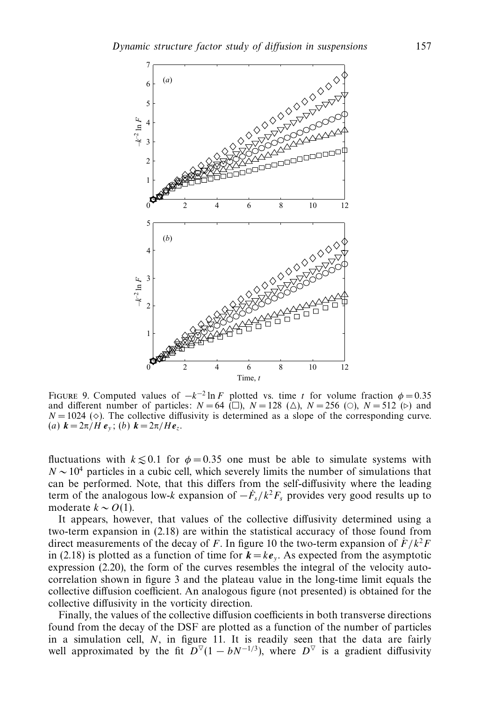

FIGURE 9. Computed values of  $-k^{-2} \ln F$  plotted vs. time *t* for volume fraction  $\phi = 0.35$ and different number of particles:  $N = 64$  ( $\square$ ),  $N = 128$  ( $\triangle$ ),  $N = 256$  ( $\square$ ),  $N = 512$  ( $\square$ ) and  $N = 1024$  ( $\diamond$ ). The collective diffusivity is determined as a slope of the corresponding curve.  $(a)$   $k = 2\pi/H$   $e_y$ ; (b)  $k = 2\pi/He_z$ .

fluctuations with  $k \le 0.1$  for  $\phi = 0.35$  one must be able to simulate systems with  $N \sim 10^4$  particles in a cubic cell, which severely limits the number of simulations that can be performed. Note, that this differs from the self-diffusivity where the leading term of the analogous low-*k* expansion of  $-\dot{F}_s/k^2F_s$  provides very good results up to moderate  $k \sim O(1)$ .

It appears, however, that values of the collective diffusivity determined using a two-term expansion in (2.18) are within the statistical accuracy of those found from direct measurements of the decay of *F*. In figure 10 the two-term expansion of  $\dot{F}/k^2F$ in (2.18) is plotted as a function of time for  $\mathbf{k} = k\mathbf{e}_v$ . As expected from the asymptotic expression (2.20), the form of the curves resembles the integral of the velocity autocorrelation shown in figure 3 and the plateau value in the long-time limit equals the collective diffusion coefficient. An analogous figure (not presented) is obtained for the collective diffusivity in the vorticity direction.

Finally, the values of the collective diffusion coefficients in both transverse directions found from the decay of the DSF are plotted as a function of the number of particles in a simulation cell, *N*, in figure 11. It is readily seen that the data are fairly well approximated by the fit  $D^{\nabla}(1 - bN^{-1/3})$ , where  $D^{\nabla}$  is a gradient diffusivity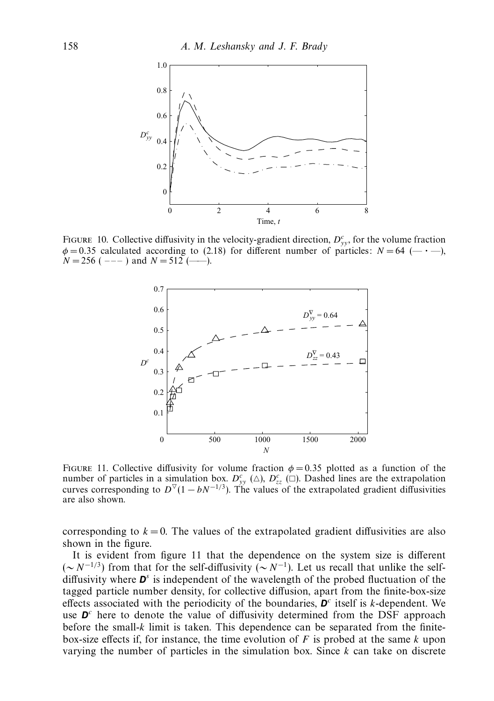

FIGURE 10. Collective diffusivity in the velocity-gradient direction,  $D_{yy}^c$ , for the volume fraction  $\phi = 0.35$  calculated according to (2.18) for different number of particles:  $N = 64$  (- · -),  $N = 256$  (---) and  $N = 512$  (---).



FIGURE 11. Collective diffusivity for volume fraction  $\phi = 0.35$  plotted as a function of the number of particles in a simulation box.  $D_{yy}^c$  ( $\triangle$ ),  $D_{zz}^c$  ( $\Box$ ). Dashed lines are the extrapolation curves corresponding to  $D^{\nabla}(1 - bN^{-1/3})$ . The values of the extrapolated gradient diffusivities are also shown.

corresponding to  $k = 0$ . The values of the extrapolated gradient diffusivities are also shown in the figure.

It is evident from figure 11 that the dependence on the system size is different (<sup>∼</sup> *<sup>N</sup>*−1*/*3) from that for the self-diffusivity (<sup>∼</sup> *<sup>N</sup>*−1). Let us recall that unlike the selfdiffusivity where *D<sup>s</sup>* is independent of the wavelength of the probed fluctuation of the tagged particle number density, for collective diffusion, apart from the finite-box-size effects associated with the periodicity of the boundaries, *D<sup>c</sup>* itself is *k*-dependent. We use  $D<sup>c</sup>$  here to denote the value of diffusivity determined from the DSF approach before the small-*k* limit is taken. This dependence can be separated from the finitebox-size effects if, for instance, the time evolution of *F* is probed at the same *k* upon varying the number of particles in the simulation box. Since *k* can take on discrete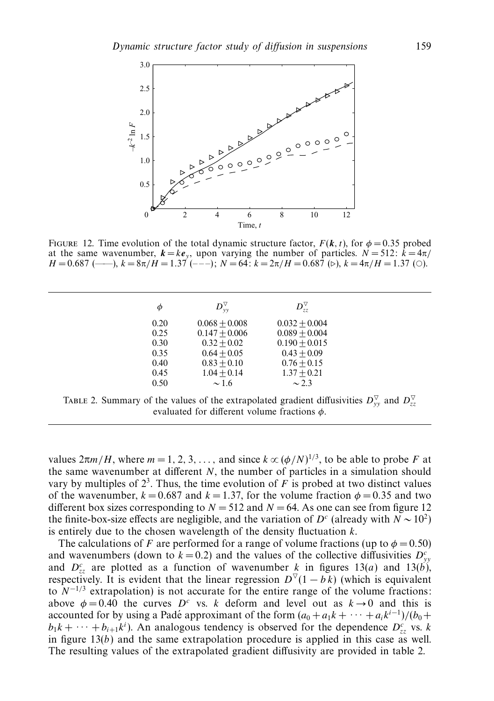

FIGURE 12. Time evolution of the total dynamic structure factor,  $F(k, t)$ , for  $\phi = 0.35$  probed at the same wavenumber,  $k = ke_y$ , upon varying the number of particles.  $N = 512$ :  $k = 4\pi$ /  $H = 0.687$  (--),  $k = 8\pi/H = 1.37$  (--);  $N = 64$ :  $k = 2\pi/H = 0.687$  ( $\triangleright$ ),  $k = 4\pi/H = 1.37$  ( $\triangleright$ ).

| φ    | $D^{\triangledown}_{\nu\nu}$ | $D^\nabla_{\tau\tau}$ |
|------|------------------------------|-----------------------|
| 0.20 | $0.068 + 0.008$              | $0.032 + 0.004$       |
| 0.25 | $0.147 + 0.006$              | $0.089 + 0.004$       |
| 0.30 | $0.32 + 0.02$                | $0.190 + 0.015$       |
| 0.35 | $0.64 + 0.05$                | $0.43 + 0.09$         |
| 0.40 | $0.83 + 0.10$                | $0.76 + 0.15$         |
| 0.45 | $1.04 + 0.14$                | $1.37 + 0.21$         |
| 0.50 | $\sim$ 1.6                   | $\sim$ 2.3            |

TABLE 2. Summary of the values of the extrapolated gradient diffusivities  $D_{yy}^{\triangledown}$  and  $D_{zz}^{\triangledown}$ evaluated for different volume fractions *φ*.

values  $2\pi m/H$ , where  $m = 1, 2, 3, \ldots$ , and since  $k \propto (\phi/N)^{1/3}$ , to be able to probe *F* at the same wavenumber at different *N*, the number of particles in a simulation should vary by multiples of  $2<sup>3</sup>$ . Thus, the time evolution of *F* is probed at two distinct values of the wavenumber,  $k = 0.687$  and  $k = 1.37$ , for the volume fraction  $\phi = 0.35$  and two different box sizes corresponding to  $N = 512$  and  $N = 64$ . As one can see from figure 12 the finite-box-size effects are negligible, and the variation of  $D<sup>c</sup>$  (already with  $N \sim 10<sup>2</sup>$ ) is entirely due to the chosen wavelength of the density fluctuation *k*.

The calculations of *F* are performed for a range of volume fractions (up to  $\phi = 0.50$ ) and wavenumbers (down to  $k = 0.2$ ) and the values of the collective diffusivities  $D_y^c$ and  $D_{zz}^c$  are plotted as a function of wavenumber *k* in figures 13(*a*) and 13(*b*), respectively. It is evident that the linear regression  $D^{\triangledown}(1 - bk)$  (which is equivalent to  $N^{-1/3}$  extrapolation) is not accurate for the entire range of the volume fractions: above  $\phi = 0.40$  the curves  $D^c$  vs. *k* deform and level out as  $k \rightarrow 0$  and this is accounted for by using a Padé approximant of the form  $(a_0 + a_1k + \cdots + a_ik^{i-1})/(b_0 +$  $b_1k + \cdots + b_{i+1}k^i$ ). An analogous tendency is observed for the dependence  $D_{zz}^c$  vs. *k* in figure  $13(b)$  and the same extrapolation procedure is applied in this case as well. The resulting values of the extrapolated gradient diffusivity are provided in table 2.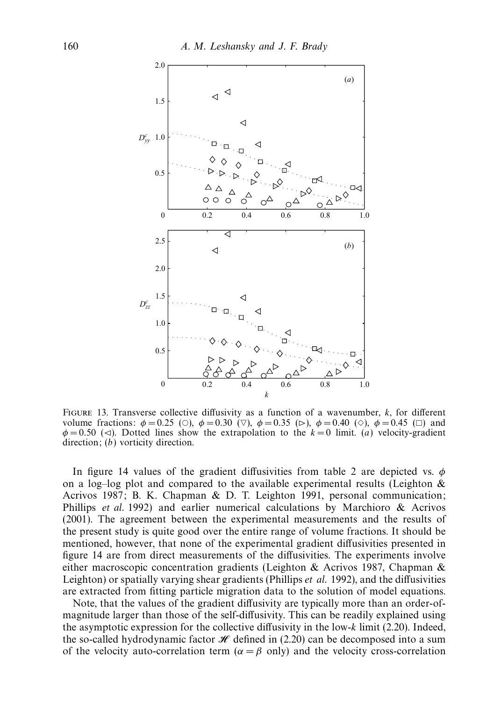

Figure 13. Transverse collective diffusivity as a function of a wavenumber, *k*, for different volume fractions:  $\phi = 0.25$  ( $\circ$ ),  $\phi = 0.30$  ( $\circ$ ),  $\phi = 0.35$  ( $\circ$ ),  $\phi = 0.40$  ( $\circ$ ),  $\phi = 0.45$  ( $\circ$ ) and  $\phi = 0.50$  ( $\triangleleft$ ). Dotted lines show the extrapolation to the  $k = 0$  limit. (a) velocity-gradient direction; (b) vorticity direction.

In figure 14 values of the gradient diffusivities from table 2 are depicted vs. *φ* on a log–log plot and compared to the available experimental results (Leighton  $\&$ Acrivos 1987; B. K. Chapman & D. T. Leighton 1991, personal communication; Phillips et al. 1992) and earlier numerical calculations by Marchioro & Acrivos (2001). The agreement between the experimental measurements and the results of the present study is quite good over the entire range of volume fractions. It should be mentioned, however, that none of the experimental gradient diffusivities presented in figure 14 are from direct measurements of the diffusivities. The experiments involve either macroscopic concentration gradients (Leighton & Acrivos 1987, Chapman & Leighton) or spatially varying shear gradients (Phillips et al. 1992), and the diffusivities are extracted from fitting particle migration data to the solution of model equations.

Note, that the values of the gradient diffusivity are typically more than an order-ofmagnitude larger than those of the self-diffusivity. This can be readily explained using the asymptotic expression for the collective diffusivity in the low-*k* limit (2.20). Indeed, the so-called hydrodynamic factor  $\mathcal{H}$  defined in (2.20) can be decomposed into a sum of the velocity auto-correlation term  $(\alpha = \beta)$  only) and the velocity cross-correlation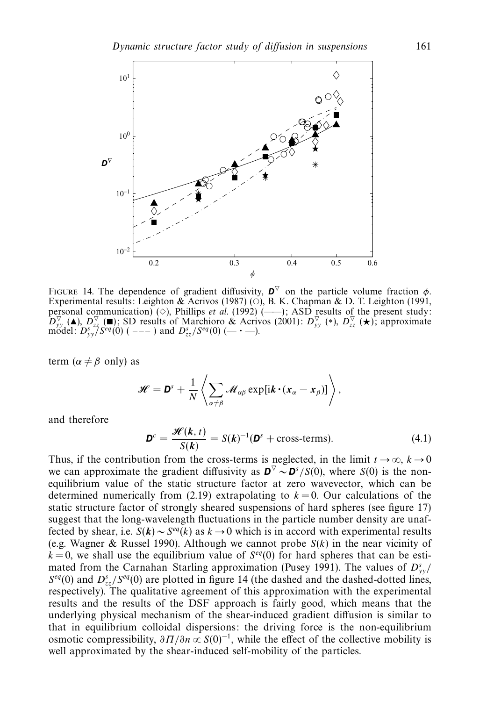

FIGURE 14. The dependence of gradient diffusivity,  $\mathbf{D}^{\triangledown}$  on the particle volume fraction  $\phi$ . Experimental results: Leighton & Acrivos (1987) (O), B. K. Chapman & D. T. Leighton (1991, personal communication) ( $\diamond$ ), Phillips *et al.* (1992)  $(\underline{\hspace{1cm}})$ ; ASD results of the present study:  $\tilde{D}_{yy}^{\nabla}$  (A),  $D_{zz}^{\nabla}$  (I); SD results of Marchioro & Acrivos (2001):  $D_{yy}^{\nabla}$  (\*),  $D_{zz}^{\nabla}$  (\*); approximate model:  $D_{yy}^{\nabla}/S^{eq}(0)$  (---) and  $D_{zz}^{s}/S^{eq}(0)$  (---).

term  $(\alpha \neq \beta$  only) as

$$
\mathscr{H}=\boldsymbol{D}^s+\frac{1}{N}\left\langle\sum_{\alpha\neq\beta}\mathscr{M}_{\alpha\beta}\exp[i\boldsymbol{k}\cdot(\boldsymbol{x}_{\alpha}-\boldsymbol{x}_{\beta})]\right\rangle,
$$

and therefore

$$
\mathbf{D}^c = \frac{\mathcal{H}(k, t)}{S(k)} = S(k)^{-1}(\mathbf{D}^s + \text{cross-terms}).
$$
 (4.1)

Thus, if the contribution from the cross-terms is neglected, in the limit  $t \to \infty$ ,  $k \to 0$ we can approximate the gradient diffusivity as  $\mathbf{D}^{\triangledown} \sim \mathbf{D}^s / S(0)$ , where *S*(0) is the nonequilibrium value of the static structure factor at zero wavevector, which can be determined numerically from  $(2.19)$  extrapolating to  $k = 0$ . Our calculations of the static structure factor of strongly sheared suspensions of hard spheres (see figure 17) suggest that the long-wavelength fluctuations in the particle number density are unaffected by shear, i.e.  $S(k) \sim S^{eq}(k)$  as  $k \to 0$  which is in accord with experimental results (e.g. Wagner & Russel 1990). Although we cannot probe *S*(*k*) in the near vicinity of  $k = 0$ , we shall use the equilibrium value of  $S^{eq}(0)$  for hard spheres that can be estimated from the Carnahan–Starling approximation (Pusey 1991). The values of  $D_{yy}^s/$  $S^{eq}(0)$  and  $D_{zz}^{s}/S^{eq}(0)$  are plotted in figure 14 (the dashed and the dashed-dotted lines, respectively). The qualitative agreement of this approximation with the experimental results and the results of the DSF approach is fairly good, which means that the underlying physical mechanism of the shear-induced gradient diffusion is similar to that in equilibrium colloidal dispersions: the driving force is the non-equilibrium osmotic compressibility,  $\partial \Pi / \partial n \propto S(0)^{-1}$ , while the effect of the collective mobility is well approximated by the shear-induced self-mobility of the particles.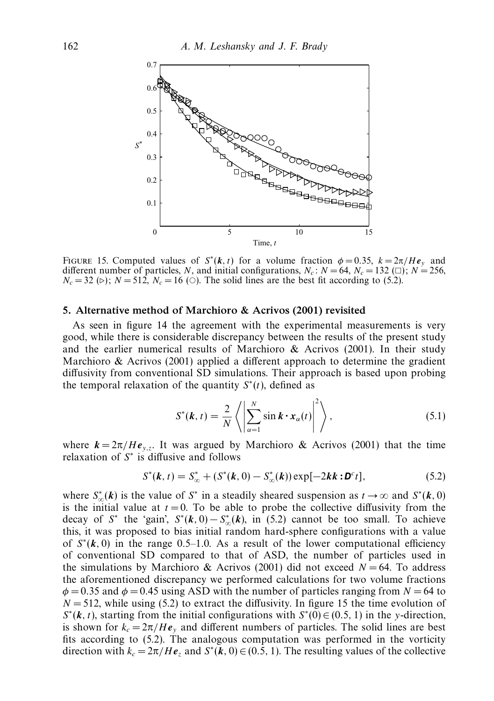

FIGURE 15. Computed values of  $S^*(k, t)$  for a volume fraction  $\phi = 0.35$ ,  $k = 2\pi/He_y$  and different number of particles, *N*, and initial configurations,  $N_c$ :  $N = 64$ ,  $N_c = 132$  ( $\Box$ );  $N = 256$ ,  $N_c = 32$  ( $\triangleright$ );  $N = 512$ ,  $N_c = 16$  ( $\odot$ ). The solid lines are the best fit according to (5.2).

## *5. Alternative method of Marchioro & Acrivos (2001) revisited*

As seen in figure 14 the agreement with the experimental measurements is very good, while there is considerable discrepancy between the results of the present study and the earlier numerical results of Marchioro  $\&$  Acrivos (2001). In their study Marchioro  $\&$  Acrivos (2001) applied a different approach to determine the gradient diffusivity from conventional SD simulations. Their approach is based upon probing the temporal relaxation of the quantity  $S^*(t)$ , defined as

$$
S^*(\mathbf{k}, t) = \frac{2}{N} \left\langle \left| \sum_{\alpha=1}^N \sin \mathbf{k} \cdot \mathbf{x}_{\alpha}(t) \right|^2 \right\rangle, \tag{5.1}
$$

where  $k = 2\pi / He_{y,z}$ . It was argued by Marchioro & Acrivos (2001) that the time relaxation of *S*<sup>∗</sup> is diffusive and follows

$$
S^*(k, t) = S^*_{\infty} + (S^*(k, 0) - S^*_{\infty}(k)) \exp[-2kk : D^c t],
$$
\n(5.2)

where  $S^*_{\infty}(\mathbf{k})$  is the value of  $S^*$  in a steadily sheared suspension as  $t \to \infty$  and  $S^*(\mathbf{k}, 0)$ is the initial value at  $t = 0$ . To be able to probe the collective diffusivity from the decay of *S*<sup>∗</sup> the 'gain',  $S^*(k, 0) - S^*_{\infty}(k)$ , in (5.2) cannot be too small. To achieve this, it was proposed to bias initial random hard-sphere configurations with a value of  $S^*(k, 0)$  in the range 0.5–1.0. As a result of the lower computational efficiency of conventional SD compared to that of ASD, the number of particles used in the simulations by Marchioro & Acrivos (2001) did not exceed  $N = 64$ . To address the aforementioned discrepancy we performed calculations for two volume fractions  $\phi = 0.35$  and  $\phi = 0.45$  using ASD with the number of particles ranging from  $N = 64$  to  $N = 512$ , while using (5.2) to extract the diffusivity. In figure 15 the time evolution of  $S<sup>*</sup>(k, t)$ , starting from the initial configurations with  $S<sup>*</sup>(0) \in (0.5, 1)$  in the *y*-direction, is shown for  $k_c = 2\pi/H$  *e<sub>y</sub>* and different numbers of particles. The solid lines are best fits according to (5.2). The analogous computation was performed in the vorticity direction with  $k_c = 2\pi/He_z$  and  $S^*(k, 0) \in (0.5, 1)$ . The resulting values of the collective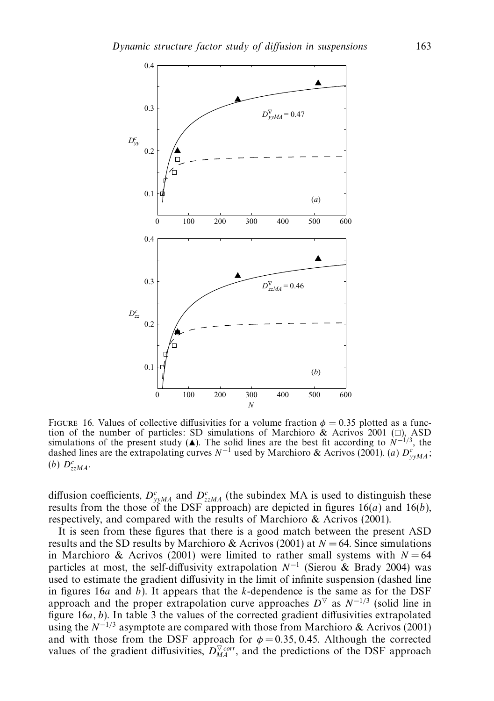

FIGURE 16. Values of collective diffusivities for a volume fraction  $\phi = 0.35$  plotted as a function of the number of particles: SD simulations of Marchioro & Acrivos 2001 ( $\square$ ), ASD simulations of the present study ( $\triangle$ ). The solid lines are the best fit according to  $N^{-1/3}$ , the dashed lines are the extrapolating curves  $N^{-1}$  used by Marchioro & Acrivos (2001). (a)  $D_{yyMA}^c$ ; (b)  $D^c_{zzMA}$ .

diffusion coefficients,  $D_{\text{yyMA}}^c$  and  $D_{\text{zzMA}}^c$  (the subindex MA is used to distinguish these results from the those of the DSF approach) are depicted in figures  $16(a)$  and  $16(b)$ , respectively, and compared with the results of Marchioro & Acrivos (2001).

It is seen from these figures that there is a good match between the present ASD results and the SD results by Marchioro & Acrivos (2001) at  $N = 64$ . Since simulations in Marchioro & Acrivos (2001) were limited to rather small systems with  $N = 64$ particles at most, the self-diffusivity extrapolation *N*−<sup>1</sup> (Sierou & Brady 2004) was used to estimate the gradient diffusivity in the limit of infinite suspension (dashed line in figures 16a and b). It appears that the *k*-dependence is the same as for the DSF approach and the proper extrapolation curve approaches  $D^{\triangledown}$  as  $N^{-1/3}$  (solid line in figure 16*a, b*). In table 3 the values of the corrected gradient diffusivities extrapolated using the  $N^{-1/3}$  asymptote are compared with those from Marchioro & Acrivos (2001) and with those from the DSF approach for  $\phi = 0.35, 0.45$ . Although the corrected values of the gradient diffusivities,  $D_{MA}^{\nabla corr}$ , and the predictions of the DSF approach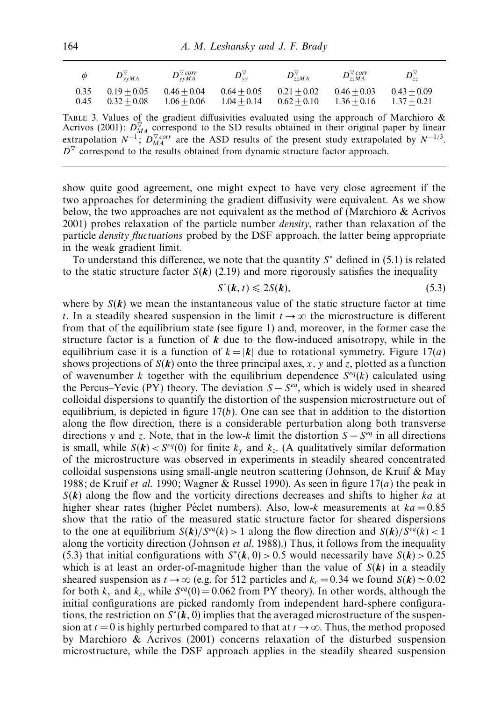| Φ    | $D_{\text{vvMA}}^\vee$ | $D_{\text{vvMA}}^{\nabla \text{ corr}}$ | $D_{vv}^{\vee}$ | $D_{zzMA}^{\vee}$ | $D_{zzMA}^{\nabla corr}$ | $D_{zz}^{\vee}$ |
|------|------------------------|-----------------------------------------|-----------------|-------------------|--------------------------|-----------------|
| 0.35 | $0.19 + 0.05$          | $0.46 + 0.04$                           | $0.64 + 0.05$   | $0.21 + 0.02$     | $0.46 + 0.03$            | $0.43 + 0.09$   |
| 0.45 | $0.32 + 0.08$          | $1.06 + 0.06$                           | $1.04 + 0.14$   | $0.62 + 0.10$     | $1.36 + 0.16$            | $1.37 + 0.21$   |

TABLE 3. Values of the gradient diffusivities evaluated using the approach of Marchioro  $\&$ Acrivos (2001):  $D_{MA}^{\nabla}$  correspond to the SD results obtained in their original paper by linear extrapolation  $N^{-1}$ ;  $D_{MA}^{\nabla corr}$  are the ASD results of the present study extrapolated by  $N^{-1/3}$ .  $D^{\triangledown}$  correspond to the results obtained from dynamic structure factor approach.

show quite good agreement, one might expect to have very close agreement if the two approaches for determining the gradient diffusivity were equivalent. As we show below, the two approaches are not equivalent as the method of (Marchioro & Acrivos 2001) probes relaxation of the particle number density, rather than relaxation of the particle density fluctuations probed by the DSF approach, the latter being appropriate in the weak gradient limit.

To understand this difference, we note that the quantity *S*<sup>∗</sup> defined in (5.1) is related to the static structure factor  $S(k)$  (2.19) and more rigorously satisfies the inequality

$$
S^*(k, t) \leqslant 2S(k),\tag{5.3}
$$

where by  $S(k)$  we mean the instantaneous value of the static structure factor at time *t*. In a steadily sheared suspension in the limit  $t \rightarrow \infty$  the microstructure is different from that of the equilibrium state (see figure 1) and, moreover, in the former case the structure factor is a function of  $k$  due to the flow-induced anisotropy, while in the equilibrium case it is a function of  $k = |k|$  due to rotational symmetry. Figure 17(a) shows projections of  $S(k)$  onto the three principal axes, x, y and z, plotted as a function of wavenumber *k* together with the equilibrium dependence  $S^{eq}(k)$  calculated using the Percus–Yevic (PY) theory. The deviation  $S - S^{eq}$ , which is widely used in sheared colloidal dispersions to quantify the distortion of the suspension microstructure out of equilibrium, is depicted in figure  $17(b)$ . One can see that in addition to the distortion along the flow direction, there is a considerable perturbation along both transverse directions *y* and *z*. Note, that in the low-*k* limit the distortion  $S - S^{eq}$  in all directions is small, while  $S(k) < S<sup>eq</sup>(0)$  for finite  $k_y$  and  $k_z$ . (A qualitatively similar deformation of the microstructure was observed in experiments in steadily sheared concentrated colloidal suspensions using small-angle neutron scattering (Johnson, de Kruif & May 1988; de Kruif *et al.* 1990; Wagner & Russel 1990). As seen in figure  $17(a)$  the peak in *S*(*k*) along the flow and the vorticity directions decreases and shifts to higher *ka* at higher shear rates (higher Péclet numbers). Also, low-k measurements at  $ka = 0.85$ show that the ratio of the measured static structure factor for sheared dispersions to the one at equilibrium  $S(k)/S^{eq}(k) > 1$  along the flow direction and  $S(k)/S^{eq}(k) < 1$ along the vorticity direction (Johnson et al. 1988).) Thus, it follows from the inequality (5.3) that initial configurations with  $S<sup>*</sup>(k, 0) > 0.5$  would necessarily have  $S(k) > 0.25$ which is at least an order-of-magnitude higher than the value of  $S(k)$  in a steadily sheared suspension as  $t \to \infty$  (e.g. for 512 particles and  $k_c = 0.34$  we found  $S(\mathbf{k}) \simeq 0.02$ for both  $k_y$  and  $k_z$ , while  $S^{eq}(0) = 0.062$  from PY theory). In other words, although the initial configurations are picked randomly from independent hard-sphere configurations, the restriction on  $S<sup>*</sup>(k, 0)$  implies that the averaged microstructure of the suspension at  $t = 0$  is highly perturbed compared to that at  $t \to \infty$ . Thus, the method proposed by Marchioro & Acrivos (2001) concerns relaxation of the disturbed suspension microstructure, while the DSF approach applies in the steadily sheared suspension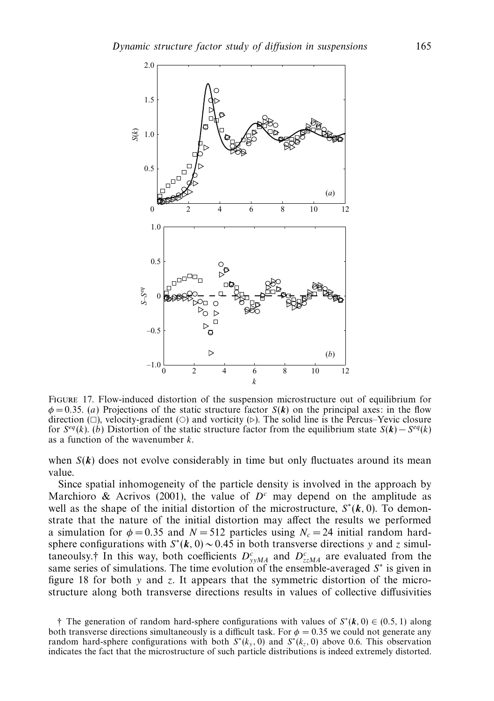

Figure 17. Flow-induced distortion of the suspension microstructure out of equilibrium for  $\phi = 0.35$ . (a) Projections of the static structure factor  $S(k)$  on the principal axes: in the flow direction  $(\Box)$ , velocity-gradient  $(\Diamond)$  and vorticity  $(\Diamond)$ . The solid line is the Percus–Yevic closure for  $S^{eq}(k)$ . (b) Distortion of the static structure factor from the equilibrium state  $S(k) - S^{eq}(k)$ as a function of the wavenumber *k*.

when  $S(k)$  does not evolve considerably in time but only fluctuates around its mean value.

Since spatial inhomogeneity of the particle density is involved in the approach by Marchioro & Acrivos (2001), the value of  $D<sup>c</sup>$  may depend on the amplitude as well as the shape of the initial distortion of the microstructure,  $S<sup>*</sup>(k, 0)$ . To demonstrate that the nature of the initial distortion may affect the results we performed a simulation for  $\phi = 0.35$  and  $N = 512$  particles using  $N_c = 24$  initial random hardsphere configurations with  $S<sup>*</sup>(k, 0) \sim 0.45$  in both transverse directions *y* and *z* simultaneoulsy.† In this way, both coefficients  $D_{yyMA}^c$  and  $D_{zzMA}^c$  are evaluated from the same series of simulations. The time evolution of the ensemble-averaged *S*<sup>∗</sup> is given in figure 18 for both *y* and *z*. It appears that the symmetric distortion of the microstructure along both transverse directions results in values of collective diffusivities

<sup>†</sup> The generation of random hard-sphere configurations with values of *S*∗(*k,* 0) ∈ (0*.*5*,* 1) along both transverse directions simultaneously is a difficult task. For  $\phi = 0.35$  we could not generate any random hard-sphere configurations with both  $S<sup>*</sup>(k<sub>y</sub>, 0)$  and  $S<sup>*</sup>(k<sub>z</sub>, 0)$  above 0.6. This observation indicates the fact that the microstructure of such particle distributions is indeed extremely distorted.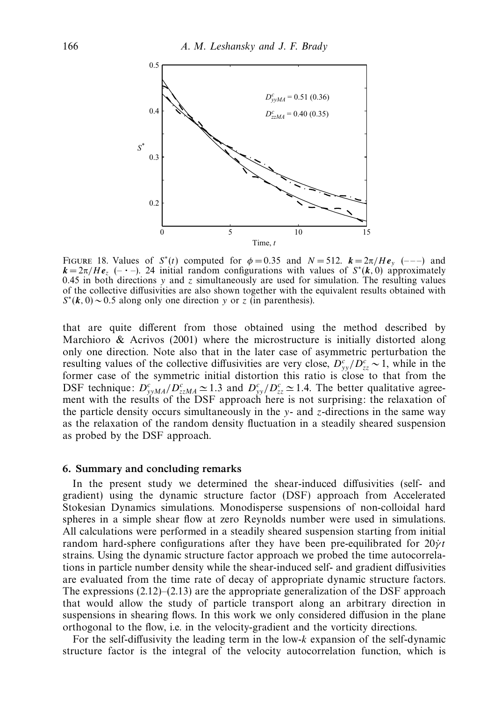

FIGURE 18. Values of  $S^*(t)$  computed for  $\phi = 0.35$  and  $N = 512$ .  $k = 2\pi / He$ <sup>*y*</sup> (---) and  $k = 2\pi/He_z$  (– · –). 24 initial random configurations with values of  $S^*(k, 0)$  approximately 0*.*45 in both directions *y* and *z* simultaneously are used for simulation. The resulting values of the collective diffusivities are also shown together with the equivalent results obtained with *S*∗(*k,* 0) ∼ 0*.*5 along only one direction *y* or *z* (in parenthesis).

that are quite different from those obtained using the method described by Marchioro  $\&$  Acrivos (2001) where the microstructure is initially distorted along only one direction. Note also that in the later case of asymmetric perturbation the resulting values of the collective diffusivities are very close,  $D_{yy}^c/D_{zz}^c \sim 1$ , while in the former case of the symmetric initial distortion this ratio is close to that from the DSF technique:  $D_{\text{yyMA}}^c / D_{\text{zzMA}}^c \simeq 1.3$  and  $D_{\text{yy}}^c / D_{\text{zz}}^c \simeq 1.4$ . The better qualitative agreement with the results of the DSF approach here is not surprising: the relaxation of the particle density occurs simultaneously in the *y*- and *z*-directions in the same way as the relaxation of the random density fluctuation in a steadily sheared suspension as probed by the DSF approach.

#### *6. Summary and concluding remarks*

In the present study we determined the shear-induced diffusivities (self- and gradient) using the dynamic structure factor (DSF) approach from Accelerated Stokesian Dynamics simulations. Monodisperse suspensions of non-colloidal hard spheres in a simple shear flow at zero Reynolds number were used in simulations. All calculations were performed in a steadily sheared suspension starting from initial random hard-sphere configurations after they have been pre-equilibrated for  $20\dot{\gamma}t$ strains. Using the dynamic structure factor approach we probed the time autocorrelations in particle number density while the shear-induced self- and gradient diffusivities are evaluated from the time rate of decay of appropriate dynamic structure factors. The expressions  $(2.12)$ – $(2.13)$  are the appropriate generalization of the DSF approach that would allow the study of particle transport along an arbitrary direction in suspensions in shearing flows. In this work we only considered diffusion in the plane orthogonal to the flow, i.e. in the velocity-gradient and the vorticity directions.

For the self-diffusivity the leading term in the low-*k* expansion of the self-dynamic structure factor is the integral of the velocity autocorrelation function, which is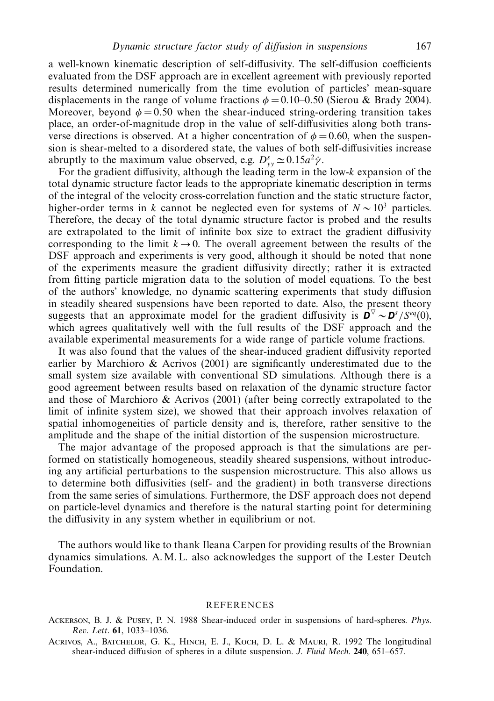a well-known kinematic description of self-diffusivity. The self-diffusion coefficients evaluated from the DSF approach are in excellent agreement with previously reported results determined numerically from the time evolution of particles' mean-square displacements in the range of volume fractions  $\phi = 0.10 - 0.50$  (Sierou & Brady 2004). Moreover, beyond  $\phi = 0.50$  when the shear-induced string-ordering transition takes place, an order-of-magnitude drop in the value of self-diffusivities along both transverse directions is observed. At a higher concentration of  $\phi = 0.60$ , when the suspension is shear-melted to a disordered state, the values of both self-diffusivities increase abruptly to the maximum value observed, e.g.  $D_{yy}^s \simeq 0.15a^2\dot{\gamma}$ .

For the gradient diffusivity, although the leading term in the low-*k* expansion of the total dynamic structure factor leads to the appropriate kinematic description in terms of the integral of the velocity cross-correlation function and the static structure factor, higher-order terms in *k* cannot be neglected even for systems of  $N \sim 10^3$  particles. Therefore, the decay of the total dynamic structure factor is probed and the results are extrapolated to the limit of infinite box size to extract the gradient diffusivity corresponding to the limit  $k \rightarrow 0$ . The overall agreement between the results of the DSF approach and experiments is very good, although it should be noted that none of the experiments measure the gradient diffusivity directly; rather it is extracted from fitting particle migration data to the solution of model equations. To the best of the authors' knowledge, no dynamic scattering experiments that study diffusion in steadily sheared suspensions have been reported to date. Also, the present theory suggests that an approximate model for the gradient diffusivity is  $\mathbf{D}^{\triangledown} \sim \mathbf{D}^s / S^{eq}(0)$ , which agrees qualitatively well with the full results of the DSF approach and the available experimental measurements for a wide range of particle volume fractions.

It was also found that the values of the shear-induced gradient diffusivity reported earlier by Marchioro & Acrivos (2001) are significantly underestimated due to the small system size available with conventional SD simulations. Although there is a good agreement between results based on relaxation of the dynamic structure factor and those of Marchioro & Acrivos (2001) (after being correctly extrapolated to the limit of infinite system size), we showed that their approach involves relaxation of spatial inhomogeneities of particle density and is, therefore, rather sensitive to the amplitude and the shape of the initial distortion of the suspension microstructure.

The major advantage of the proposed approach is that the simulations are performed on statistically homogeneous, steadily sheared suspensions, without introducing any artificial perturbations to the suspension microstructure. This also allows us to determine both diffusivities (self- and the gradient) in both transverse directions from the same series of simulations. Furthermore, the DSF approach does not depend on particle-level dynamics and therefore is the natural starting point for determining the diffusivity in any system whether in equilibrium or not.

The authors would like to thank Ileana Carpen for providing results of the Brownian dynamics simulations. A. M. L. also acknowledges the support of the Lester Deutch Foundation.

#### REFERENCES

Ackerson, B. J. & Pusey, P. N. 1988 Shear-induced order in suspensions of hard-spheres. Phys. Rev. Lett. **61**, 1033–1036.

Acrivos, A., Batchelor, G. K., Hinch, E. J., Koch, D. L. & Mauri, R. 1992 The longitudinal shear-induced diffusion of spheres in a dilute suspension. J. Fluid Mech. **240**, 651–657.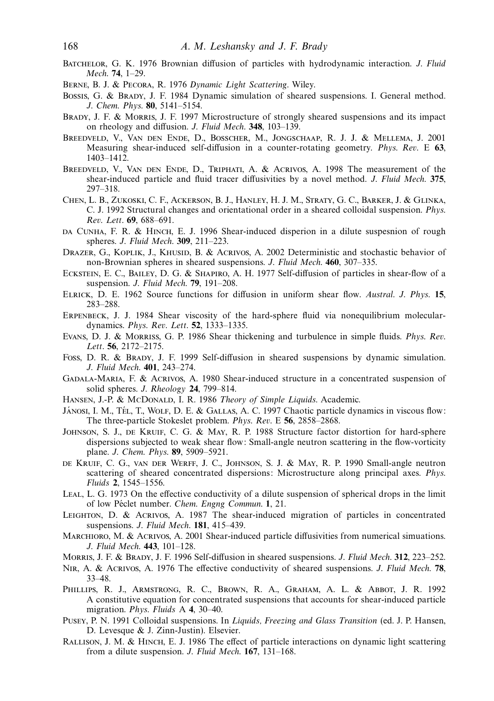- Batchelor, G. K. 1976 Brownian diffusion of particles with hydrodynamic interaction. J. Fluid Mech. **74**, 1–29.
- BERNE, B. J. & PECORA, R. 1976 Dynamic Light Scattering. Wiley.
- Bossis, G. & Brady, J. F. 1984 Dynamic simulation of sheared suspensions. I. General method. J. Chem. Phys. **80**, 5141–5154.
- Brady, J. F. & Morris, J. F. 1997 Microstructure of strongly sheared suspensions and its impact on rheology and diffusion. J. Fluid Mech. **348**, 103–139.
- Breedveld, V., Van den Ende, D., Bosscher, M., Jongschaap, R. J. J. & Mellema, J. 2001 Measuring shear-induced self-diffusion in a counter-rotating geometry. Phys. Rev. E **63**, 1403–1412.
- Breedveld, V., Van den Ende, D., Triphati, A. & Acrivos, A. 1998 The measurement of the shear-induced particle and fluid tracer diffusivities by a novel method. J. Fluid Mech. **375**, 297–318.
- Chen, L. B., Zukoski, C. F., Ackerson, B. J., Hanley, H. J. M., Straty, G. C., Barker, J. & Glinka, C. J. 1992 Structural changes and orientational order in a sheared colloidal suspension. Phys. Rev. Lett. **69**, 688–691.
- da Cunha, F. R. & Hinch, E. J. 1996 Shear-induced disperion in a dilute suspesnion of rough spheres. J. Fluid Mech. **309**, 211–223.
- DRAZER, G., KOPLIK, J., KHUSID, B. & ACRIVOS, A. 2002 Deterministic and stochastic behavior of non-Brownian spheres in sheared suspensions. J. Fluid Mech. **460**, 307–335.
- Eckstein, E. C., Bailey, D. G. & Shapiro, A. H. 1977 Self-diffusion of particles in shear-flow of a suspension. J. Fluid Mech. **79**, 191–208.
- Elrick, D. E. 1962 Source functions for diffusion in uniform shear flow. Austral. J. Phys. **15**, 283–288.
- Erpenbeck, J. J. 1984 Shear viscosity of the hard-sphere fluid via nonequilibrium moleculardynamics. Phys. Rev. Lett. **52**, 1333–1335.
- Evans, D. J. & Morriss, G. P. 1986 Shear thickening and turbulence in simple fluids. Phys. Rev. Lett. **56**, 2172–2175.
- Foss, D. R. & BRADY, J. F. 1999 Self-diffusion in sheared suspensions by dynamic simulation. J. Fluid Mech. **401**, 243–274.
- Gadala-Maria, F. & Acrivos, A. 1980 Shear-induced structure in a concentrated suspension of solid spheres. J. Rheology **24**, 799–814.
- HANSEN, J.-P. & McDONALD, I. R. 1986 Theory of Simple Liquids. Academic.
- JÁNOSI, I. M., TÉL, T., WOLF, D. E. & GALLAS, A. C. 1997 Chaotic particle dynamics in viscous flow: The three-particle Stokeslet problem. Phys. Rev. E **56**, 2858–2868.
- JOHNSON, S. J., DE KRUIF, C. G. & MAY, R. P. 1988 Structure factor distortion for hard-sphere dispersions subjected to weak shear flow: Small-angle neutron scattering in the flow-vorticity plane. J. Chem. Phys. **89**, 5909–5921.
- de Kruif, C. G., van der Werff, J. C., Johnson, S. J. & May, R. P. 1990 Small-angle neutron scattering of sheared concentrated dispersions: Microstructure along principal axes. Phys. Fluids **2**, 1545–1556.
- Leal, L. G. 1973 On the effective conductivity of a dilute suspension of spherical drops in the limit of low Péclet number. *Chem. Engng Commun.* **1**, 21.
- Leighton, D. & Acrivos, A. 1987 The shear-induced migration of particles in concentrated suspensions. J. Fluid Mech. **181**, 415–439.
- MARCHIORO, M. & ACRIVOS, A. 2001 Shear-induced particle diffusivities from numerical simuations. J. Fluid Mech. **443**, 101–128.
- Morris, J. F. & Brady, J. F. 1996 Self-diffusion in sheared suspensions. J. Fluid Mech. **312**, 223–252.
- Nir, A. & Acrivos, A. 1976 The effective conductivity of sheared suspensions. J. Fluid Mech. **78**, 33–48.
- PHILLIPS, R. J., ARMSTRONG, R. C., BROWN, R. A., GRAHAM, A. L. & ABBOT, J. R. 1992 A constitutive equation for concentrated suspensions that accounts for shear-induced particle migration. Phys. Fluids A **4**, 30–40.
- Pusey, P. N. 1991 Colloidal suspensions. In Liquids, Freezing and Glass Transition (ed. J. P. Hansen, D. Levesque & J. Zinn-Justin). Elsevier.
- RALLISON, J. M. & HINCH, E. J. 1986 The effect of particle interactions on dynamic light scattering from a dilute suspension. J. Fluid Mech. **167**, 131–168.